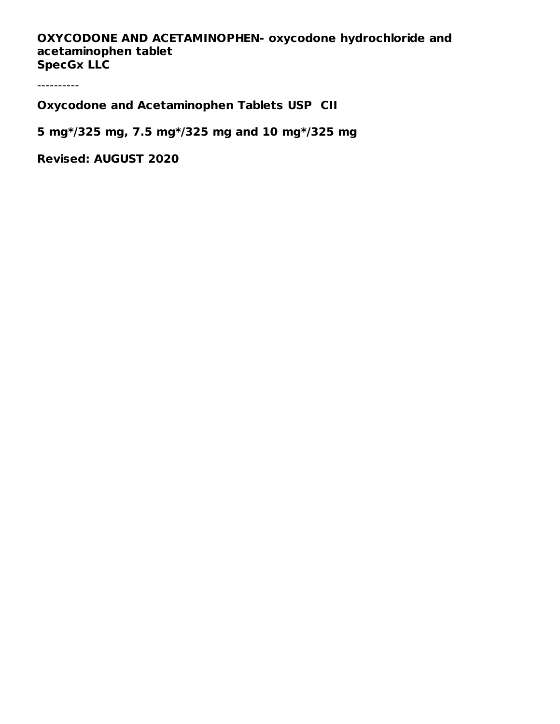#### **OXYCODONE AND ACETAMINOPHEN- oxycodone hydrochloride and acetaminophen tablet SpecGx LLC**

----------

**Oxycodone and Acetaminophen Tablets USP CII**

**5 mg\*/325 mg, 7.5 mg\*/325 mg and 10 mg\*/325 mg**

**Revised: AUGUST 2020**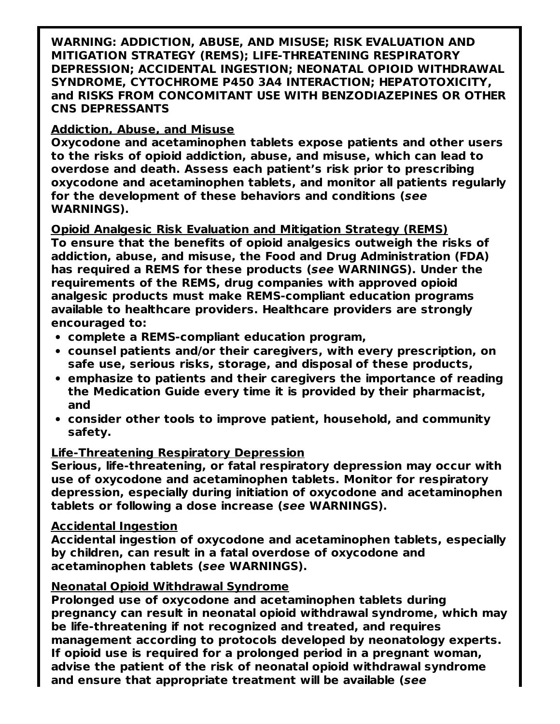**WARNING: ADDICTION, ABUSE, AND MISUSE; RISK EVALUATION AND MITIGATION STRATEGY (REMS); LIFE-THREATENING RESPIRATORY DEPRESSION; ACCIDENTAL INGESTION; NEONATAL OPIOID WITHDRAWAL SYNDROME, CYTOCHROME P450 3A4 INTERACTION; HEPATOTOXICITY, and RISKS FROM CONCOMITANT USE WITH BENZODIAZEPINES OR OTHER CNS DEPRESSANTS**

#### **Addiction, Abuse, and Misuse**

**Oxycodone and acetaminophen tablets expose patients and other users to the risks of opioid addiction, abuse, and misuse, which can lead to overdose and death. Assess each patient's risk prior to prescribing oxycodone and acetaminophen tablets, and monitor all patients regularly for the development of these behaviors and conditions (see WARNINGS).**

#### **Opioid Analgesic Risk Evaluation and Mitigation Strategy (REMS)**

**To ensure that the benefits of opioid analgesics outweigh the risks of addiction, abuse, and misuse, the Food and Drug Administration (FDA) has required a REMS for these products (see WARNINGS). Under the requirements of the REMS, drug companies with approved opioid analgesic products must make REMS-compliant education programs available to healthcare providers. Healthcare providers are strongly encouraged to:**

- **complete a REMS-compliant education program,**
- **counsel patients and/or their caregivers, with every prescription, on safe use, serious risks, storage, and disposal of these products,**
- **emphasize to patients and their caregivers the importance of reading the Medication Guide every time it is provided by their pharmacist, and**
- **consider other tools to improve patient, household, and community safety.**

#### **Life-Threatening Respiratory Depression**

**Serious, life-threatening, or fatal respiratory depression may occur with use of oxycodone and acetaminophen tablets. Monitor for respiratory depression, especially during initiation of oxycodone and acetaminophen tablets or following a dose increase (see WARNINGS).**

#### **Accidental Ingestion**

**Accidental ingestion of oxycodone and acetaminophen tablets, especially by children, can result in a fatal overdose of oxycodone and acetaminophen tablets (see WARNINGS).**

#### **Neonatal Opioid Withdrawal Syndrome**

**Prolonged use of oxycodone and acetaminophen tablets during pregnancy can result in neonatal opioid withdrawal syndrome, which may be life-threatening if not recognized and treated, and requires management according to protocols developed by neonatology experts. If opioid use is required for a prolonged period in a pregnant woman, advise the patient of the risk of neonatal opioid withdrawal syndrome and ensure that appropriate treatment will be available (see**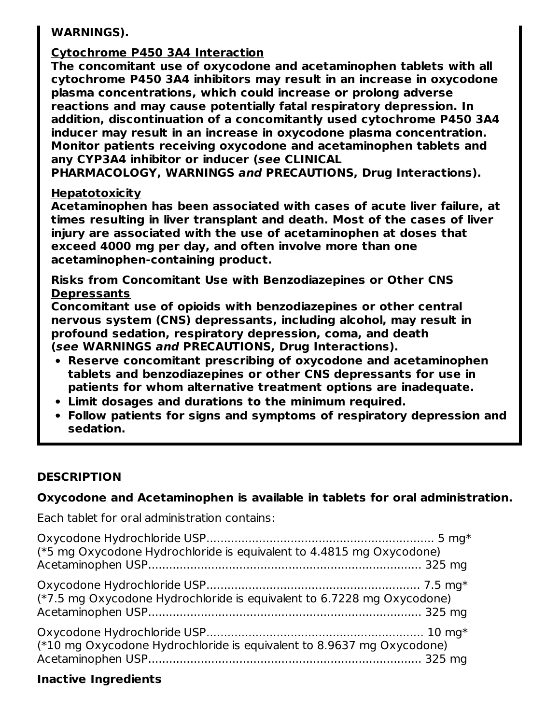## **WARNINGS).**

#### **Cytochrome P450 3A4 Interaction**

**The concomitant use of oxycodone and acetaminophen tablets with all cytochrome P450 3A4 inhibitors may result in an increase in oxycodone plasma concentrations, which could increase or prolong adverse reactions and may cause potentially fatal respiratory depression. In addition, discontinuation of a concomitantly used cytochrome P450 3A4 inducer may result in an increase in oxycodone plasma concentration. Monitor patients receiving oxycodone and acetaminophen tablets and any CYP3A4 inhibitor or inducer (see CLINICAL**

**PHARMACOLOGY, WARNINGS and PRECAUTIONS, Drug Interactions).**

#### **Hepatotoxicity**

**Acetaminophen has been associated with cases of acute liver failure, at times resulting in liver transplant and death. Most of the cases of liver injury are associated with the use of acetaminophen at doses that exceed 4000 mg per day, and often involve more than one acetaminophen-containing product.**

**Risks from Concomitant Use with Benzodiazepines or Other CNS Depressants**

**Concomitant use of opioids with benzodiazepines or other central nervous system (CNS) depressants, including alcohol, may result in profound sedation, respiratory depression, coma, and death (see WARNINGS and PRECAUTIONS, Drug Interactions).**

- **Reserve concomitant prescribing of oxycodone and acetaminophen tablets and benzodiazepines or other CNS depressants for use in patients for whom alternative treatment options are inadequate.**
- **Limit dosages and durations to the minimum required.**
- **Follow patients for signs and symptoms of respiratory depression and sedation.**

## **DESCRIPTION**

#### **Oxycodone and Acetaminophen is available in tablets for oral administration.**

Each tablet for oral administration contains:

| (*5 mg Oxycodone Hydrochloride is equivalent to 4.4815 mg Oxycodone)   |  |
|------------------------------------------------------------------------|--|
| (*7.5 mg Oxycodone Hydrochloride is equivalent to 6.7228 mg Oxycodone) |  |
| (*10 mg Oxycodone Hydrochloride is equivalent to 8.9637 mg Oxycodone)  |  |

## **Inactive Ingredients**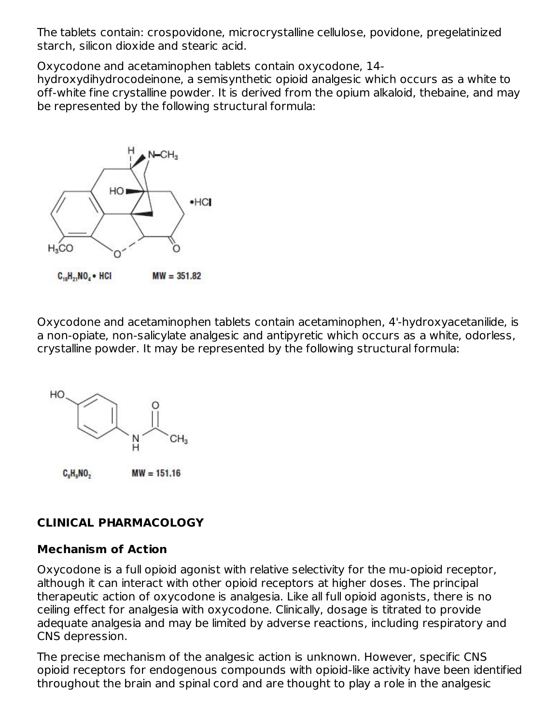The tablets contain: crospovidone, microcrystalline cellulose, povidone, pregelatinized starch, silicon dioxide and stearic acid.

Oxycodone and acetaminophen tablets contain oxycodone, 14-

hydroxydihydrocodeinone, a semisynthetic opioid analgesic which occurs as a white to off-white fine crystalline powder. It is derived from the opium alkaloid, thebaine, and may be represented by the following structural formula:



Oxycodone and acetaminophen tablets contain acetaminophen, 4'-hydroxyacetanilide, is a non-opiate, non-salicylate analgesic and antipyretic which occurs as a white, odorless, crystalline powder. It may be represented by the following structural formula:



## **CLINICAL PHARMACOLOGY**

## **Mechanism of Action**

Oxycodone is a full opioid agonist with relative selectivity for the mu-opioid receptor, although it can interact with other opioid receptors at higher doses. The principal therapeutic action of oxycodone is analgesia. Like all full opioid agonists, there is no ceiling effect for analgesia with oxycodone. Clinically, dosage is titrated to provide adequate analgesia and may be limited by adverse reactions, including respiratory and CNS depression.

The precise mechanism of the analgesic action is unknown. However, specific CNS opioid receptors for endogenous compounds with opioid-like activity have been identified throughout the brain and spinal cord and are thought to play a role in the analgesic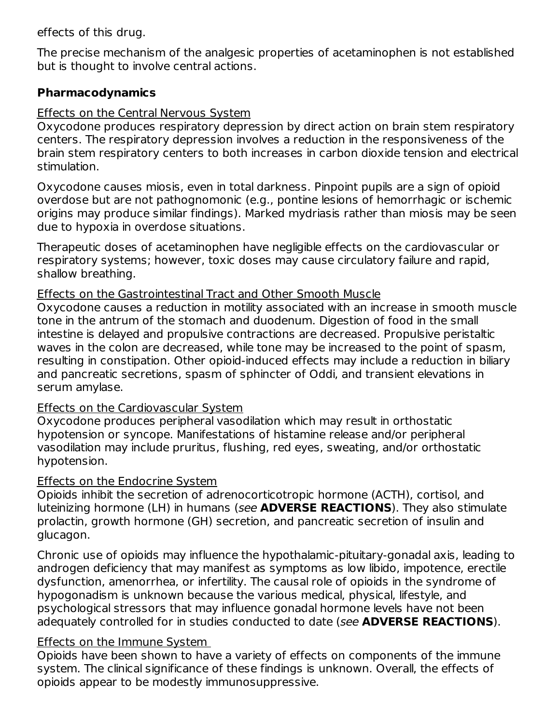effects of this drug.

The precise mechanism of the analgesic properties of acetaminophen is not established but is thought to involve central actions.

## **Pharmacodynamics**

## Effects on the Central Nervous System

Oxycodone produces respiratory depression by direct action on brain stem respiratory centers. The respiratory depression involves a reduction in the responsiveness of the brain stem respiratory centers to both increases in carbon dioxide tension and electrical stimulation.

Oxycodone causes miosis, even in total darkness. Pinpoint pupils are a sign of opioid overdose but are not pathognomonic (e.g., pontine lesions of hemorrhagic or ischemic origins may produce similar findings). Marked mydriasis rather than miosis may be seen due to hypoxia in overdose situations.

Therapeutic doses of acetaminophen have negligible effects on the cardiovascular or respiratory systems; however, toxic doses may cause circulatory failure and rapid, shallow breathing.

## Effects on the Gastrointestinal Tract and Other Smooth Muscle

Oxycodone causes a reduction in motility associated with an increase in smooth muscle tone in the antrum of the stomach and duodenum. Digestion of food in the small intestine is delayed and propulsive contractions are decreased. Propulsive peristaltic waves in the colon are decreased, while tone may be increased to the point of spasm, resulting in constipation. Other opioid-induced effects may include a reduction in biliary and pancreatic secretions, spasm of sphincter of Oddi, and transient elevations in serum amylase.

## Effects on the Cardiovascular System

Oxycodone produces peripheral vasodilation which may result in orthostatic hypotension or syncope. Manifestations of histamine release and/or peripheral vasodilation may include pruritus, flushing, red eyes, sweating, and/or orthostatic hypotension.

## Effects on the Endocrine System

Opioids inhibit the secretion of adrenocorticotropic hormone (ACTH), cortisol, and luteinizing hormone (LH) in humans (see **ADVERSE REACTIONS**). They also stimulate prolactin, growth hormone (GH) secretion, and pancreatic secretion of insulin and glucagon.

Chronic use of opioids may influence the hypothalamic-pituitary-gonadal axis, leading to androgen deficiency that may manifest as symptoms as low libido, impotence, erectile dysfunction, amenorrhea, or infertility. The causal role of opioids in the syndrome of hypogonadism is unknown because the various medical, physical, lifestyle, and psychological stressors that may influence gonadal hormone levels have not been adequately controlled for in studies conducted to date (see **ADVERSE REACTIONS**).

## Effects on the Immune System

Opioids have been shown to have a variety of effects on components of the immune system. The clinical significance of these findings is unknown. Overall, the effects of opioids appear to be modestly immunosuppressive.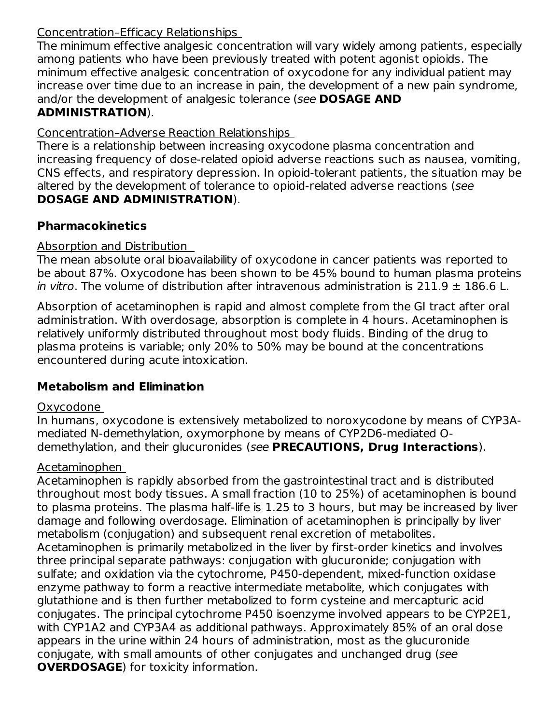## Concentration–Efficacy Relationships

The minimum effective analgesic concentration will vary widely among patients, especially among patients who have been previously treated with potent agonist opioids. The minimum effective analgesic concentration of oxycodone for any individual patient may increase over time due to an increase in pain, the development of a new pain syndrome, and/or the development of analgesic tolerance (see **DOSAGE AND ADMINISTRATION**).

## Concentration–Adverse Reaction Relationships

There is a relationship between increasing oxycodone plasma concentration and increasing frequency of dose-related opioid adverse reactions such as nausea, vomiting, CNS effects, and respiratory depression. In opioid-tolerant patients, the situation may be altered by the development of tolerance to opioid-related adverse reactions (see **DOSAGE AND ADMINISTRATION**).

## **Pharmacokinetics**

## Absorption and Distribution

The mean absolute oral bioavailability of oxycodone in cancer patients was reported to be about 87%. Oxycodone has been shown to be 45% bound to human plasma proteins in vitro. The volume of distribution after intravenous administration is  $211.9 \pm 186.6$  L.

Absorption of acetaminophen is rapid and almost complete from the GI tract after oral administration. With overdosage, absorption is complete in 4 hours. Acetaminophen is relatively uniformly distributed throughout most body fluids. Binding of the drug to plasma proteins is variable; only 20% to 50% may be bound at the concentrations encountered during acute intoxication.

## **Metabolism and Elimination**

## Oxycodone

In humans, oxycodone is extensively metabolized to noroxycodone by means of CYP3Amediated N-demethylation, oxymorphone by means of CYP2D6-mediated Odemethylation, and their glucuronides (see **PRECAUTIONS, Drug Interactions**).

## Acetaminophen

Acetaminophen is rapidly absorbed from the gastrointestinal tract and is distributed throughout most body tissues. A small fraction (10 to 25%) of acetaminophen is bound to plasma proteins. The plasma half-life is 1.25 to 3 hours, but may be increased by liver damage and following overdosage. Elimination of acetaminophen is principally by liver metabolism (conjugation) and subsequent renal excretion of metabolites. Acetaminophen is primarily metabolized in the liver by first-order kinetics and involves three principal separate pathways: conjugation with glucuronide; conjugation with sulfate; and oxidation via the cytochrome, P450-dependent, mixed-function oxidase enzyme pathway to form a reactive intermediate metabolite, which conjugates with glutathione and is then further metabolized to form cysteine and mercapturic acid conjugates. The principal cytochrome P450 isoenzyme involved appears to be CYP2E1, with CYP1A2 and CYP3A4 as additional pathways. Approximately 85% of an oral dose appears in the urine within 24 hours of administration, most as the glucuronide conjugate, with small amounts of other conjugates and unchanged drug (see **OVERDOSAGE**) for toxicity information.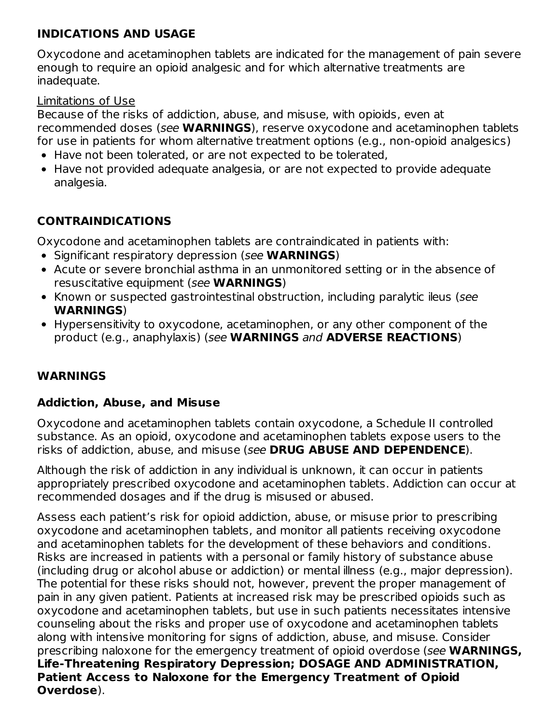# **INDICATIONS AND USAGE**

Oxycodone and acetaminophen tablets are indicated for the management of pain severe enough to require an opioid analgesic and for which alternative treatments are inadequate.

#### Limitations of Use

Because of the risks of addiction, abuse, and misuse, with opioids, even at recommended doses (see **WARNINGS**), reserve oxycodone and acetaminophen tablets for use in patients for whom alternative treatment options (e.g., non-opioid analgesics)

- Have not been tolerated, or are not expected to be tolerated,
- Have not provided adequate analgesia, or are not expected to provide adequate analgesia.

# **CONTRAINDICATIONS**

Oxycodone and acetaminophen tablets are contraindicated in patients with:

- Significant respiratory depression (see **WARNINGS**)
- Acute or severe bronchial asthma in an unmonitored setting or in the absence of resuscitative equipment (see **WARNINGS**)
- Known or suspected gastrointestinal obstruction, including paralytic ileus (see **WARNINGS**)
- Hypersensitivity to oxycodone, acetaminophen, or any other component of the product (e.g., anaphylaxis) (see **WARNINGS** and **ADVERSE REACTIONS**)

## **WARNINGS**

## **Addiction, Abuse, and Misuse**

Oxycodone and acetaminophen tablets contain oxycodone, a Schedule II controlled substance. As an opioid, oxycodone and acetaminophen tablets expose users to the risks of addiction, abuse, and misuse (see **DRUG ABUSE AND DEPENDENCE**).

Although the risk of addiction in any individual is unknown, it can occur in patients appropriately prescribed oxycodone and acetaminophen tablets. Addiction can occur at recommended dosages and if the drug is misused or abused.

Assess each patient's risk for opioid addiction, abuse, or misuse prior to prescribing oxycodone and acetaminophen tablets, and monitor all patients receiving oxycodone and acetaminophen tablets for the development of these behaviors and conditions. Risks are increased in patients with a personal or family history of substance abuse (including drug or alcohol abuse or addiction) or mental illness (e.g., major depression). The potential for these risks should not, however, prevent the proper management of pain in any given patient. Patients at increased risk may be prescribed opioids such as oxycodone and acetaminophen tablets, but use in such patients necessitates intensive counseling about the risks and proper use of oxycodone and acetaminophen tablets along with intensive monitoring for signs of addiction, abuse, and misuse. Consider prescribing naloxone for the emergency treatment of opioid overdose (see **WARNINGS, Life-Threatening Respiratory Depression; DOSAGE AND ADMINISTRATION, Patient Access to Naloxone for the Emergency Treatment of Opioid Overdose**).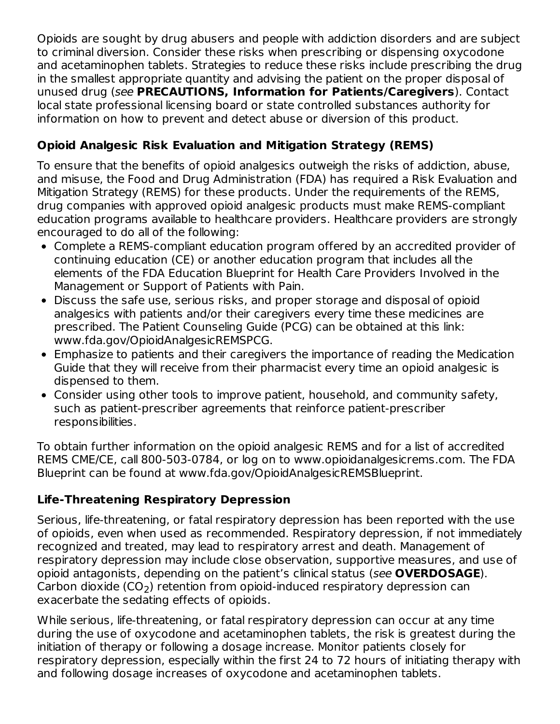Opioids are sought by drug abusers and people with addiction disorders and are subject to criminal diversion. Consider these risks when prescribing or dispensing oxycodone and acetaminophen tablets. Strategies to reduce these risks include prescribing the drug in the smallest appropriate quantity and advising the patient on the proper disposal of unused drug (see **PRECAUTIONS, Information for Patients/Caregivers**). Contact local state professional licensing board or state controlled substances authority for information on how to prevent and detect abuse or diversion of this product.

# **Opioid Analgesic Risk Evaluation and Mitigation Strategy (REMS)**

To ensure that the benefits of opioid analgesics outweigh the risks of addiction, abuse, and misuse, the Food and Drug Administration (FDA) has required a Risk Evaluation and Mitigation Strategy (REMS) for these products. Under the requirements of the REMS, drug companies with approved opioid analgesic products must make REMS-compliant education programs available to healthcare providers. Healthcare providers are strongly encouraged to do all of the following:

- Complete a REMS-compliant education program offered by an accredited provider of continuing education (CE) or another education program that includes all the elements of the FDA Education Blueprint for Health Care Providers Involved in the Management or Support of Patients with Pain.
- Discuss the safe use, serious risks, and proper storage and disposal of opioid analgesics with patients and/or their caregivers every time these medicines are prescribed. The Patient Counseling Guide (PCG) can be obtained at this link: www.fda.gov/OpioidAnalgesicREMSPCG.
- Emphasize to patients and their caregivers the importance of reading the Medication Guide that they will receive from their pharmacist every time an opioid analgesic is dispensed to them.
- Consider using other tools to improve patient, household, and community safety, such as patient-prescriber agreements that reinforce patient-prescriber responsibilities.

To obtain further information on the opioid analgesic REMS and for a list of accredited REMS CME/CE, call 800-503-0784, or log on to www.opioidanalgesicrems.com. The FDA Blueprint can be found at www.fda.gov/OpioidAnalgesicREMSBlueprint.

# **Life-Threatening Respiratory Depression**

Serious, life-threatening, or fatal respiratory depression has been reported with the use of opioids, even when used as recommended. Respiratory depression, if not immediately recognized and treated, may lead to respiratory arrest and death. Management of respiratory depression may include close observation, supportive measures, and use of opioid antagonists, depending on the patient's clinical status (see **OVERDOSAGE**). Carbon dioxide (CO<sub>2</sub>) retention from opioid-induced respiratory depression can exacerbate the sedating effects of opioids.

While serious, life-threatening, or fatal respiratory depression can occur at any time during the use of oxycodone and acetaminophen tablets, the risk is greatest during the initiation of therapy or following a dosage increase. Monitor patients closely for respiratory depression, especially within the first 24 to 72 hours of initiating therapy with and following dosage increases of oxycodone and acetaminophen tablets.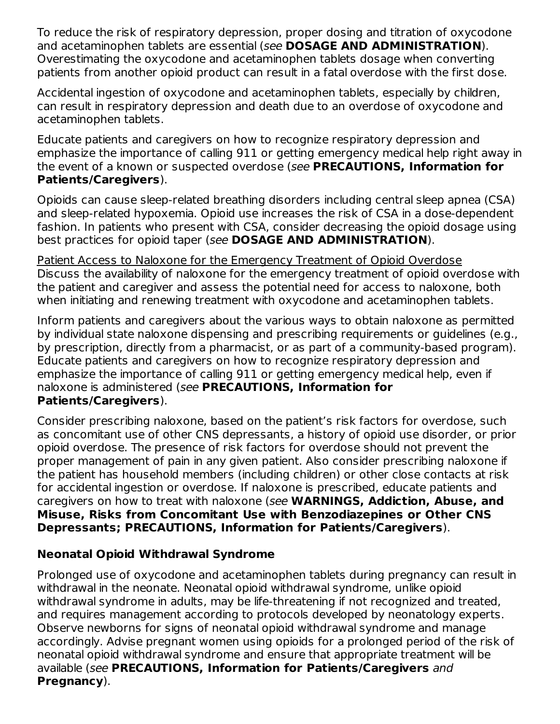To reduce the risk of respiratory depression, proper dosing and titration of oxycodone and acetaminophen tablets are essential (see **DOSAGE AND ADMINISTRATION**). Overestimating the oxycodone and acetaminophen tablets dosage when converting patients from another opioid product can result in a fatal overdose with the first dose.

Accidental ingestion of oxycodone and acetaminophen tablets, especially by children, can result in respiratory depression and death due to an overdose of oxycodone and acetaminophen tablets.

Educate patients and caregivers on how to recognize respiratory depression and emphasize the importance of calling 911 or getting emergency medical help right away in the event of a known or suspected overdose (see **PRECAUTIONS, Information for Patients/Caregivers**).

Opioids can cause sleep-related breathing disorders including central sleep apnea (CSA) and sleep-related hypoxemia. Opioid use increases the risk of CSA in a dose-dependent fashion. In patients who present with CSA, consider decreasing the opioid dosage using best practices for opioid taper (see **DOSAGE AND ADMINISTRATION**).

Patient Access to Naloxone for the Emergency Treatment of Opioid Overdose Discuss the availability of naloxone for the emergency treatment of opioid overdose with the patient and caregiver and assess the potential need for access to naloxone, both when initiating and renewing treatment with oxycodone and acetaminophen tablets.

Inform patients and caregivers about the various ways to obtain naloxone as permitted by individual state naloxone dispensing and prescribing requirements or guidelines (e.g., by prescription, directly from a pharmacist, or as part of a community-based program). Educate patients and caregivers on how to recognize respiratory depression and emphasize the importance of calling 911 or getting emergency medical help, even if naloxone is administered (see **PRECAUTIONS, Information for Patients/Caregivers**).

Consider prescribing naloxone, based on the patient's risk factors for overdose, such as concomitant use of other CNS depressants, a history of opioid use disorder, or prior opioid overdose. The presence of risk factors for overdose should not prevent the proper management of pain in any given patient. Also consider prescribing naloxone if the patient has household members (including children) or other close contacts at risk for accidental ingestion or overdose. If naloxone is prescribed, educate patients and caregivers on how to treat with naloxone (see **WARNINGS, Addiction, Abuse, and Misuse, Risks from Concomitant Use with Benzodiazepines or Other CNS Depressants; PRECAUTIONS, Information for Patients/Caregivers**).

## **Neonatal Opioid Withdrawal Syndrome**

Prolonged use of oxycodone and acetaminophen tablets during pregnancy can result in withdrawal in the neonate. Neonatal opioid withdrawal syndrome, unlike opioid withdrawal syndrome in adults, may be life-threatening if not recognized and treated, and requires management according to protocols developed by neonatology experts. Observe newborns for signs of neonatal opioid withdrawal syndrome and manage accordingly. Advise pregnant women using opioids for a prolonged period of the risk of neonatal opioid withdrawal syndrome and ensure that appropriate treatment will be available (see **PRECAUTIONS, Information for Patients/Caregivers** and **Pregnancy**).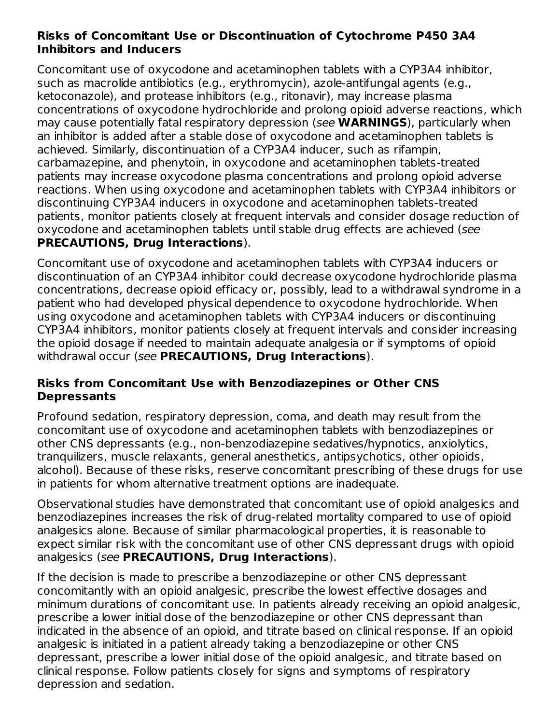## **Risks of Concomitant Use or Discontinuation of Cytochrome P450 3A4 Inhibitors and Inducers**

Concomitant use of oxycodone and acetaminophen tablets with a CYP3A4 inhibitor, such as macrolide antibiotics (e.g., erythromycin), azole-antifungal agents (e.g., ketoconazole), and protease inhibitors (e.g., ritonavir), may increase plasma concentrations of oxycodone hydrochloride and prolong opioid adverse reactions, which may cause potentially fatal respiratory depression (see **WARNINGS**), particularly when an inhibitor is added after a stable dose of oxycodone and acetaminophen tablets is achieved. Similarly, discontinuation of a CYP3A4 inducer, such as rifampin, carbamazepine, and phenytoin, in oxycodone and acetaminophen tablets-treated patients may increase oxycodone plasma concentrations and prolong opioid adverse reactions. When using oxycodone and acetaminophen tablets with CYP3A4 inhibitors or discontinuing CYP3A4 inducers in oxycodone and acetaminophen tablets-treated patients, monitor patients closely at frequent intervals and consider dosage reduction of oxycodone and acetaminophen tablets until stable drug effects are achieved (see **PRECAUTIONS, Drug Interactions**).

Concomitant use of oxycodone and acetaminophen tablets with CYP3A4 inducers or discontinuation of an CYP3A4 inhibitor could decrease oxycodone hydrochloride plasma concentrations, decrease opioid efficacy or, possibly, lead to a withdrawal syndrome in a patient who had developed physical dependence to oxycodone hydrochloride. When using oxycodone and acetaminophen tablets with CYP3A4 inducers or discontinuing CYP3A4 inhibitors, monitor patients closely at frequent intervals and consider increasing the opioid dosage if needed to maintain adequate analgesia or if symptoms of opioid withdrawal occur (see **PRECAUTIONS, Drug Interactions**).

## **Risks from Concomitant Use with Benzodiazepines or Other CNS Depressants**

Profound sedation, respiratory depression, coma, and death may result from the concomitant use of oxycodone and acetaminophen tablets with benzodiazepines or other CNS depressants (e.g., non-benzodiazepine sedatives/hypnotics, anxiolytics, tranquilizers, muscle relaxants, general anesthetics, antipsychotics, other opioids, alcohol). Because of these risks, reserve concomitant prescribing of these drugs for use in patients for whom alternative treatment options are inadequate.

Observational studies have demonstrated that concomitant use of opioid analgesics and benzodiazepines increases the risk of drug-related mortality compared to use of opioid analgesics alone. Because of similar pharmacological properties, it is reasonable to expect similar risk with the concomitant use of other CNS depressant drugs with opioid analgesics (see **PRECAUTIONS, Drug Interactions**).

If the decision is made to prescribe a benzodiazepine or other CNS depressant concomitantly with an opioid analgesic, prescribe the lowest effective dosages and minimum durations of concomitant use. In patients already receiving an opioid analgesic, prescribe a lower initial dose of the benzodiazepine or other CNS depressant than indicated in the absence of an opioid, and titrate based on clinical response. If an opioid analgesic is initiated in a patient already taking a benzodiazepine or other CNS depressant, prescribe a lower initial dose of the opioid analgesic, and titrate based on clinical response. Follow patients closely for signs and symptoms of respiratory depression and sedation.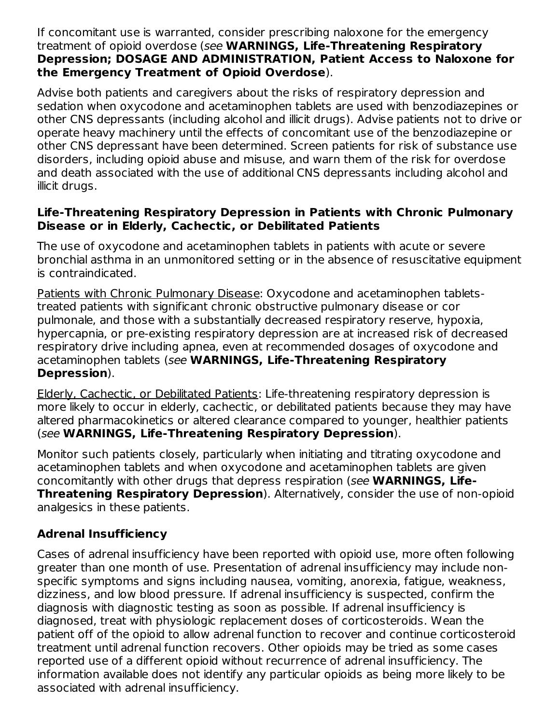If concomitant use is warranted, consider prescribing naloxone for the emergency treatment of opioid overdose (see **WARNINGS, Life-Threatening Respiratory Depression; DOSAGE AND ADMINISTRATION, Patient Access to Naloxone for the Emergency Treatment of Opioid Overdose**).

Advise both patients and caregivers about the risks of respiratory depression and sedation when oxycodone and acetaminophen tablets are used with benzodiazepines or other CNS depressants (including alcohol and illicit drugs). Advise patients not to drive or operate heavy machinery until the effects of concomitant use of the benzodiazepine or other CNS depressant have been determined. Screen patients for risk of substance use disorders, including opioid abuse and misuse, and warn them of the risk for overdose and death associated with the use of additional CNS depressants including alcohol and illicit drugs.

## **Life-Threatening Respiratory Depression in Patients with Chronic Pulmonary Disease or in Elderly, Cachectic, or Debilitated Patients**

The use of oxycodone and acetaminophen tablets in patients with acute or severe bronchial asthma in an unmonitored setting or in the absence of resuscitative equipment is contraindicated.

Patients with Chronic Pulmonary Disease: Oxycodone and acetaminophen tabletstreated patients with significant chronic obstructive pulmonary disease or cor pulmonale, and those with a substantially decreased respiratory reserve, hypoxia, hypercapnia, or pre-existing respiratory depression are at increased risk of decreased respiratory drive including apnea, even at recommended dosages of oxycodone and acetaminophen tablets (see **WARNINGS, Life-Threatening Respiratory Depression**).

Elderly, Cachectic, or Debilitated Patients: Life-threatening respiratory depression is more likely to occur in elderly, cachectic, or debilitated patients because they may have altered pharmacokinetics or altered clearance compared to younger, healthier patients (see **WARNINGS, Life-Threatening Respiratory Depression**).

Monitor such patients closely, particularly when initiating and titrating oxycodone and acetaminophen tablets and when oxycodone and acetaminophen tablets are given concomitantly with other drugs that depress respiration (see **WARNINGS, Life-Threatening Respiratory Depression**). Alternatively, consider the use of non-opioid analgesics in these patients.

# **Adrenal Insufficiency**

Cases of adrenal insufficiency have been reported with opioid use, more often following greater than one month of use. Presentation of adrenal insufficiency may include nonspecific symptoms and signs including nausea, vomiting, anorexia, fatigue, weakness, dizziness, and low blood pressure. If adrenal insufficiency is suspected, confirm the diagnosis with diagnostic testing as soon as possible. If adrenal insufficiency is diagnosed, treat with physiologic replacement doses of corticosteroids. Wean the patient off of the opioid to allow adrenal function to recover and continue corticosteroid treatment until adrenal function recovers. Other opioids may be tried as some cases reported use of a different opioid without recurrence of adrenal insufficiency. The information available does not identify any particular opioids as being more likely to be associated with adrenal insufficiency.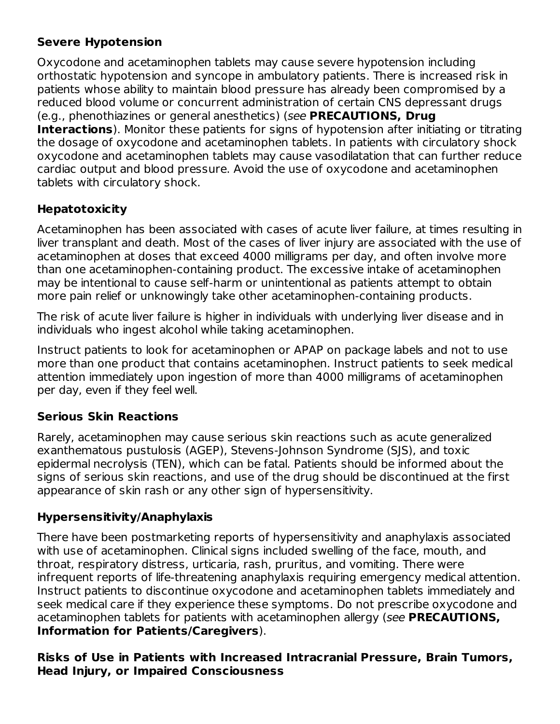## **Severe Hypotension**

Oxycodone and acetaminophen tablets may cause severe hypotension including orthostatic hypotension and syncope in ambulatory patients. There is increased risk in patients whose ability to maintain blood pressure has already been compromised by a reduced blood volume or concurrent administration of certain CNS depressant drugs (e.g., phenothiazines or general anesthetics) (see **PRECAUTIONS, Drug Interactions**). Monitor these patients for signs of hypotension after initiating or titrating the dosage of oxycodone and acetaminophen tablets. In patients with circulatory shock oxycodone and acetaminophen tablets may cause vasodilatation that can further reduce cardiac output and blood pressure. Avoid the use of oxycodone and acetaminophen tablets with circulatory shock.

# **Hepatotoxicity**

Acetaminophen has been associated with cases of acute liver failure, at times resulting in liver transplant and death. Most of the cases of liver injury are associated with the use of acetaminophen at doses that exceed 4000 milligrams per day, and often involve more than one acetaminophen-containing product. The excessive intake of acetaminophen may be intentional to cause self-harm or unintentional as patients attempt to obtain more pain relief or unknowingly take other acetaminophen-containing products.

The risk of acute liver failure is higher in individuals with underlying liver disease and in individuals who ingest alcohol while taking acetaminophen.

Instruct patients to look for acetaminophen or APAP on package labels and not to use more than one product that contains acetaminophen. Instruct patients to seek medical attention immediately upon ingestion of more than 4000 milligrams of acetaminophen per day, even if they feel well.

## **Serious Skin Reactions**

Rarely, acetaminophen may cause serious skin reactions such as acute generalized exanthematous pustulosis (AGEP), Stevens-Johnson Syndrome (SJS), and toxic epidermal necrolysis (TEN), which can be fatal. Patients should be informed about the signs of serious skin reactions, and use of the drug should be discontinued at the first appearance of skin rash or any other sign of hypersensitivity.

## **Hypersensitivity/Anaphylaxis**

There have been postmarketing reports of hypersensitivity and anaphylaxis associated with use of acetaminophen. Clinical signs included swelling of the face, mouth, and throat, respiratory distress, urticaria, rash, pruritus, and vomiting. There were infrequent reports of life-threatening anaphylaxis requiring emergency medical attention. Instruct patients to discontinue oxycodone and acetaminophen tablets immediately and seek medical care if they experience these symptoms. Do not prescribe oxycodone and acetaminophen tablets for patients with acetaminophen allergy (see **PRECAUTIONS, Information for Patients/Caregivers**).

## **Risks of Use in Patients with Increased Intracranial Pressure, Brain Tumors, Head Injury, or Impaired Consciousness**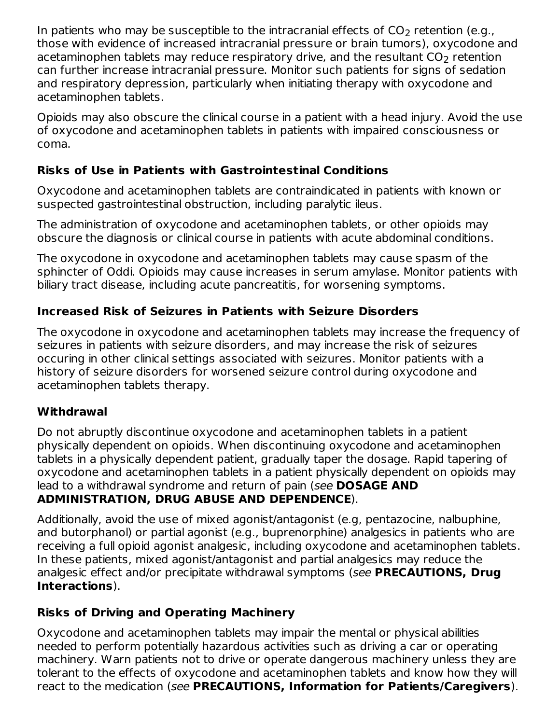In patients who may be susceptible to the intracranial effects of CO<sub>2</sub> retention (e.g., those with evidence of increased intracranial pressure or brain tumors), oxycodone and acetaminophen tablets may reduce respiratory drive, and the resultant  $\mathsf{CO}_{2}$  retention can further increase intracranial pressure. Monitor such patients for signs of sedation and respiratory depression, particularly when initiating therapy with oxycodone and acetaminophen tablets.

Opioids may also obscure the clinical course in a patient with a head injury. Avoid the use of oxycodone and acetaminophen tablets in patients with impaired consciousness or coma.

# **Risks of Use in Patients with Gastrointestinal Conditions**

Oxycodone and acetaminophen tablets are contraindicated in patients with known or suspected gastrointestinal obstruction, including paralytic ileus.

The administration of oxycodone and acetaminophen tablets, or other opioids may obscure the diagnosis or clinical course in patients with acute abdominal conditions.

The oxycodone in oxycodone and acetaminophen tablets may cause spasm of the sphincter of Oddi. Opioids may cause increases in serum amylase. Monitor patients with biliary tract disease, including acute pancreatitis, for worsening symptoms.

# **Increased Risk of Seizures in Patients with Seizure Disorders**

The oxycodone in oxycodone and acetaminophen tablets may increase the frequency of seizures in patients with seizure disorders, and may increase the risk of seizures occuring in other clinical settings associated with seizures. Monitor patients with a history of seizure disorders for worsened seizure control during oxycodone and acetaminophen tablets therapy.

## **Withdrawal**

Do not abruptly discontinue oxycodone and acetaminophen tablets in a patient physically dependent on opioids. When discontinuing oxycodone and acetaminophen tablets in a physically dependent patient, gradually taper the dosage. Rapid tapering of oxycodone and acetaminophen tablets in a patient physically dependent on opioids may lead to a withdrawal syndrome and return of pain (see **DOSAGE AND ADMINISTRATION, DRUG ABUSE AND DEPENDENCE**).

Additionally, avoid the use of mixed agonist/antagonist (e.g, pentazocine, nalbuphine, and butorphanol) or partial agonist (e.g., buprenorphine) analgesics in patients who are receiving a full opioid agonist analgesic, including oxycodone and acetaminophen tablets. In these patients, mixed agonist/antagonist and partial analgesics may reduce the analgesic effect and/or precipitate withdrawal symptoms (see **PRECAUTIONS, Drug Interactions**).

## **Risks of Driving and Operating Machinery**

Oxycodone and acetaminophen tablets may impair the mental or physical abilities needed to perform potentially hazardous activities such as driving a car or operating machinery. Warn patients not to drive or operate dangerous machinery unless they are tolerant to the effects of oxycodone and acetaminophen tablets and know how they will react to the medication (see **PRECAUTIONS, Information for Patients/Caregivers**).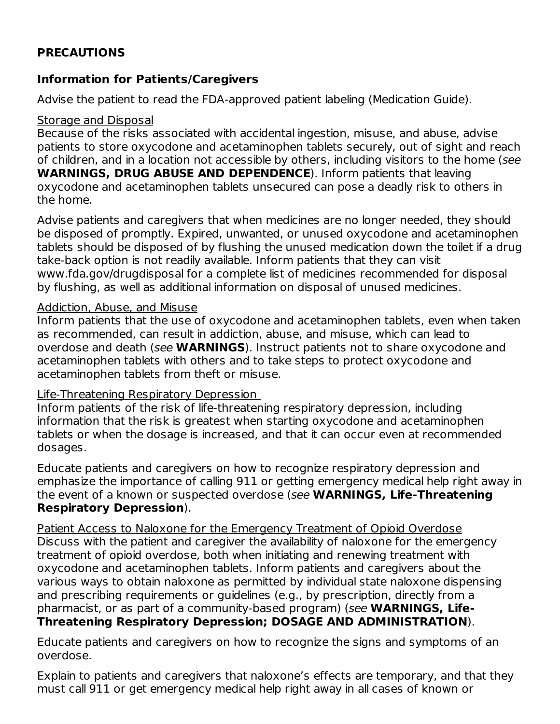## **PRECAUTIONS**

## **Information for Patients/Caregivers**

Advise the patient to read the FDA-approved patient labeling (Medication Guide).

#### Storage and Disposal

Because of the risks associated with accidental ingestion, misuse, and abuse, advise patients to store oxycodone and acetaminophen tablets securely, out of sight and reach of children, and in a location not accessible by others, including visitors to the home (see **WARNINGS, DRUG ABUSE AND DEPENDENCE**). Inform patients that leaving oxycodone and acetaminophen tablets unsecured can pose a deadly risk to others in the home.

Advise patients and caregivers that when medicines are no longer needed, they should be disposed of promptly. Expired, unwanted, or unused oxycodone and acetaminophen tablets should be disposed of by flushing the unused medication down the toilet if a drug take-back option is not readily available. Inform patients that they can visit www.fda.gov/drugdisposal for a complete list of medicines recommended for disposal by flushing, as well as additional information on disposal of unused medicines.

#### Addiction, Abuse, and Misuse

Inform patients that the use of oxycodone and acetaminophen tablets, even when taken as recommended, can result in addiction, abuse, and misuse, which can lead to overdose and death (see **WARNINGS**). Instruct patients not to share oxycodone and acetaminophen tablets with others and to take steps to protect oxycodone and acetaminophen tablets from theft or misuse.

#### Life-Threatening Respiratory Depression

Inform patients of the risk of life-threatening respiratory depression, including information that the risk is greatest when starting oxycodone and acetaminophen tablets or when the dosage is increased, and that it can occur even at recommended dosages.

Educate patients and caregivers on how to recognize respiratory depression and emphasize the importance of calling 911 or getting emergency medical help right away in the event of a known or suspected overdose (see **WARNINGS, Life-Threatening Respiratory Depression**).

Patient Access to Naloxone for the Emergency Treatment of Opioid Overdose Discuss with the patient and caregiver the availability of naloxone for the emergency treatment of opioid overdose, both when initiating and renewing treatment with oxycodone and acetaminophen tablets. Inform patients and caregivers about the various ways to obtain naloxone as permitted by individual state naloxone dispensing and prescribing requirements or guidelines (e.g., by prescription, directly from a pharmacist, or as part of a community-based program) (see **WARNINGS, Life-Threatening Respiratory Depression; DOSAGE AND ADMINISTRATION**).

Educate patients and caregivers on how to recognize the signs and symptoms of an overdose.

Explain to patients and caregivers that naloxone's effects are temporary, and that they must call 911 or get emergency medical help right away in all cases of known or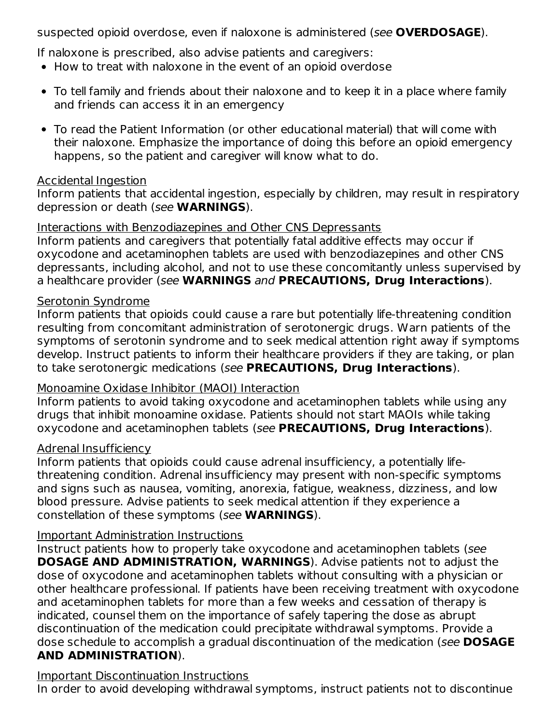suspected opioid overdose, even if naloxone is administered (see **OVERDOSAGE**).

If naloxone is prescribed, also advise patients and caregivers:

- How to treat with naloxone in the event of an opioid overdose
- To tell family and friends about their naloxone and to keep it in a place where family and friends can access it in an emergency
- To read the Patient Information (or other educational material) that will come with their naloxone. Emphasize the importance of doing this before an opioid emergency happens, so the patient and caregiver will know what to do.

## Accidental Ingestion

Inform patients that accidental ingestion, especially by children, may result in respiratory depression or death (see **WARNINGS**).

## Interactions with Benzodiazepines and Other CNS Depressants

Inform patients and caregivers that potentially fatal additive effects may occur if oxycodone and acetaminophen tablets are used with benzodiazepines and other CNS depressants, including alcohol, and not to use these concomitantly unless supervised by a healthcare provider (see **WARNINGS** and **PRECAUTIONS, Drug Interactions**).

## Serotonin Syndrome

Inform patients that opioids could cause a rare but potentially life-threatening condition resulting from concomitant administration of serotonergic drugs. Warn patients of the symptoms of serotonin syndrome and to seek medical attention right away if symptoms develop. Instruct patients to inform their healthcare providers if they are taking, or plan to take serotonergic medications (see **PRECAUTIONS, Drug Interactions**).

## Monoamine Oxidase Inhibitor (MAOI) Interaction

Inform patients to avoid taking oxycodone and acetaminophen tablets while using any drugs that inhibit monoamine oxidase. Patients should not start MAOIs while taking oxycodone and acetaminophen tablets (see **PRECAUTIONS, Drug Interactions**).

## Adrenal Insufficiency

Inform patients that opioids could cause adrenal insufficiency, a potentially lifethreatening condition. Adrenal insufficiency may present with non-specific symptoms and signs such as nausea, vomiting, anorexia, fatigue, weakness, dizziness, and low blood pressure. Advise patients to seek medical attention if they experience a constellation of these symptoms (see **WARNINGS**).

## Important Administration Instructions

Instruct patients how to properly take oxycodone and acetaminophen tablets (see **DOSAGE AND ADMINISTRATION, WARNINGS**). Advise patients not to adjust the dose of oxycodone and acetaminophen tablets without consulting with a physician or other healthcare professional. If patients have been receiving treatment with oxycodone and acetaminophen tablets for more than a few weeks and cessation of therapy is indicated, counsel them on the importance of safely tapering the dose as abrupt discontinuation of the medication could precipitate withdrawal symptoms. Provide a dose schedule to accomplish a gradual discontinuation of the medication (see **DOSAGE AND ADMINISTRATION**).

# Important Discontinuation Instructions

In order to avoid developing withdrawal symptoms, instruct patients not to discontinue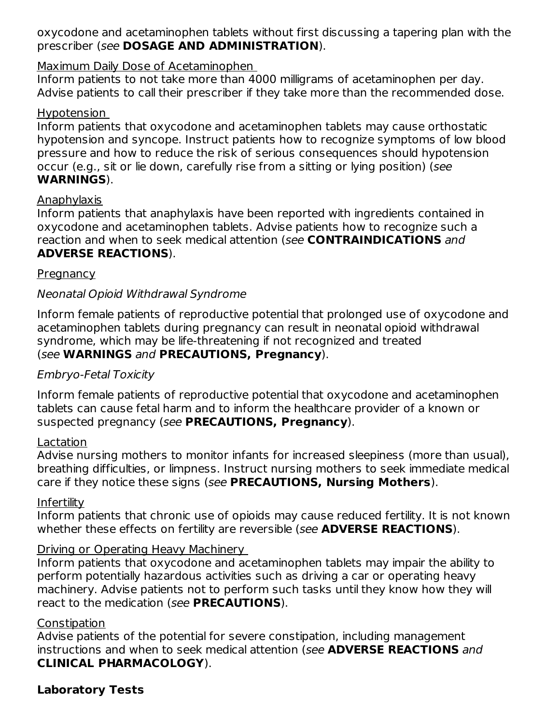oxycodone and acetaminophen tablets without first discussing a tapering plan with the prescriber (see **DOSAGE AND ADMINISTRATION**).

#### Maximum Daily Dose of Acetaminophen

Inform patients to not take more than 4000 milligrams of acetaminophen per day. Advise patients to call their prescriber if they take more than the recommended dose.

#### Hypotension

Inform patients that oxycodone and acetaminophen tablets may cause orthostatic hypotension and syncope. Instruct patients how to recognize symptoms of low blood pressure and how to reduce the risk of serious consequences should hypotension occur (e.g., sit or lie down, carefully rise from a sitting or lying position) (see **WARNINGS**).

## **Anaphylaxis**

Inform patients that anaphylaxis have been reported with ingredients contained in oxycodone and acetaminophen tablets. Advise patients how to recognize such a reaction and when to seek medical attention (see **CONTRAINDICATIONS** and **ADVERSE REACTIONS**).

#### **Pregnancy**

## Neonatal Opioid Withdrawal Syndrome

Inform female patients of reproductive potential that prolonged use of oxycodone and acetaminophen tablets during pregnancy can result in neonatal opioid withdrawal syndrome, which may be life-threatening if not recognized and treated (see **WARNINGS** and **PRECAUTIONS, Pregnancy**).

## Embryo-Fetal Toxicity

Inform female patients of reproductive potential that oxycodone and acetaminophen tablets can cause fetal harm and to inform the healthcare provider of a known or suspected pregnancy (see **PRECAUTIONS, Pregnancy**).

#### Lactation

Advise nursing mothers to monitor infants for increased sleepiness (more than usual), breathing difficulties, or limpness. Instruct nursing mothers to seek immediate medical care if they notice these signs (see **PRECAUTIONS, Nursing Mothers**).

## **Infertility**

Inform patients that chronic use of opioids may cause reduced fertility. It is not known whether these effects on fertility are reversible (see **ADVERSE REACTIONS**).

## Driving or Operating Heavy Machinery

Inform patients that oxycodone and acetaminophen tablets may impair the ability to perform potentially hazardous activities such as driving a car or operating heavy machinery. Advise patients not to perform such tasks until they know how they will react to the medication (see **PRECAUTIONS**).

#### **Constipation**

Advise patients of the potential for severe constipation, including management instructions and when to seek medical attention (see **ADVERSE REACTIONS** and **CLINICAL PHARMACOLOGY**).

## **Laboratory Tests**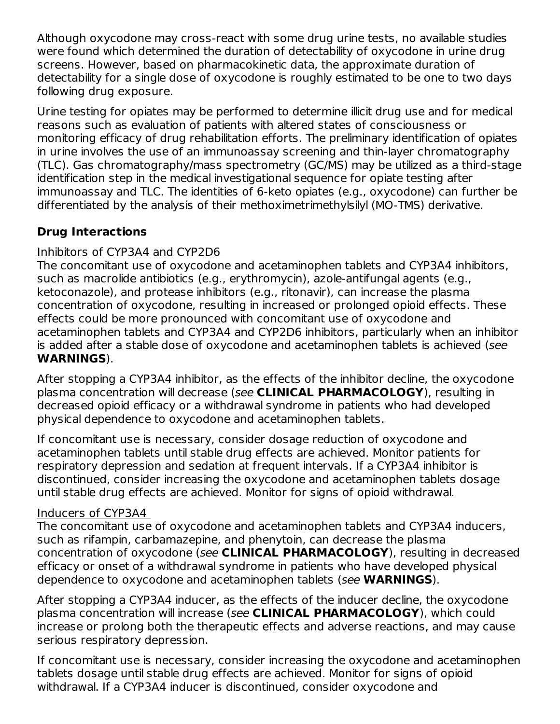Although oxycodone may cross-react with some drug urine tests, no available studies were found which determined the duration of detectability of oxycodone in urine drug screens. However, based on pharmacokinetic data, the approximate duration of detectability for a single dose of oxycodone is roughly estimated to be one to two days following drug exposure.

Urine testing for opiates may be performed to determine illicit drug use and for medical reasons such as evaluation of patients with altered states of consciousness or monitoring efficacy of drug rehabilitation efforts. The preliminary identification of opiates in urine involves the use of an immunoassay screening and thin-layer chromatography (TLC). Gas chromatography/mass spectrometry (GC/MS) may be utilized as a third-stage identification step in the medical investigational sequence for opiate testing after immunoassay and TLC. The identities of 6-keto opiates (e.g., oxycodone) can further be differentiated by the analysis of their methoximetrimethylsilyl (MO-TMS) derivative.

# **Drug Interactions**

# Inhibitors of CYP3A4 and CYP2D6

The concomitant use of oxycodone and acetaminophen tablets and CYP3A4 inhibitors, such as macrolide antibiotics (e.g., erythromycin), azole-antifungal agents (e.g., ketoconazole), and protease inhibitors (e.g., ritonavir), can increase the plasma concentration of oxycodone, resulting in increased or prolonged opioid effects. These effects could be more pronounced with concomitant use of oxycodone and acetaminophen tablets and CYP3A4 and CYP2D6 inhibitors, particularly when an inhibitor is added after a stable dose of oxycodone and acetaminophen tablets is achieved (see **WARNINGS**).

After stopping a CYP3A4 inhibitor, as the effects of the inhibitor decline, the oxycodone plasma concentration will decrease (see **CLINICAL PHARMACOLOGY**), resulting in decreased opioid efficacy or a withdrawal syndrome in patients who had developed physical dependence to oxycodone and acetaminophen tablets.

If concomitant use is necessary, consider dosage reduction of oxycodone and acetaminophen tablets until stable drug effects are achieved. Monitor patients for respiratory depression and sedation at frequent intervals. If a CYP3A4 inhibitor is discontinued, consider increasing the oxycodone and acetaminophen tablets dosage until stable drug effects are achieved. Monitor for signs of opioid withdrawal.

## Inducers of CYP3A4

The concomitant use of oxycodone and acetaminophen tablets and CYP3A4 inducers, such as rifampin, carbamazepine, and phenytoin, can decrease the plasma concentration of oxycodone (see **CLINICAL PHARMACOLOGY**), resulting in decreased efficacy or onset of a withdrawal syndrome in patients who have developed physical dependence to oxycodone and acetaminophen tablets (see **WARNINGS**).

After stopping a CYP3A4 inducer, as the effects of the inducer decline, the oxycodone plasma concentration will increase (see **CLINICAL PHARMACOLOGY**), which could increase or prolong both the therapeutic effects and adverse reactions, and may cause serious respiratory depression.

If concomitant use is necessary, consider increasing the oxycodone and acetaminophen tablets dosage until stable drug effects are achieved. Monitor for signs of opioid withdrawal. If a CYP3A4 inducer is discontinued, consider oxycodone and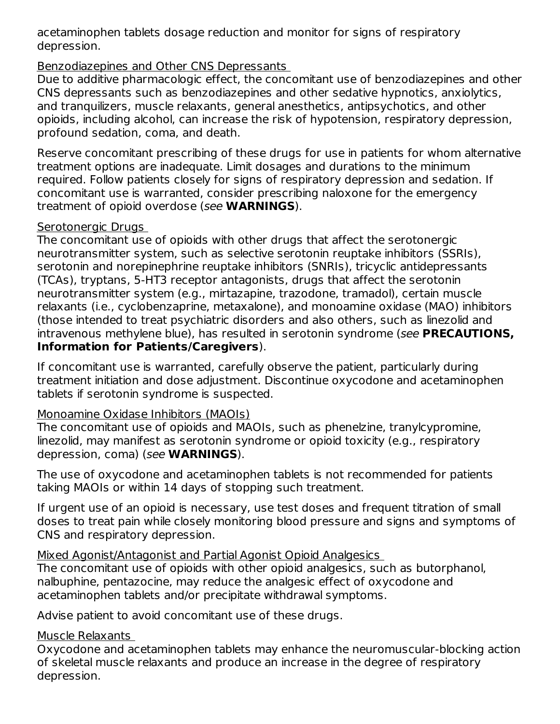acetaminophen tablets dosage reduction and monitor for signs of respiratory depression.

## Benzodiazepines and Other CNS Depressants

Due to additive pharmacologic effect, the concomitant use of benzodiazepines and other CNS depressants such as benzodiazepines and other sedative hypnotics, anxiolytics, and tranquilizers, muscle relaxants, general anesthetics, antipsychotics, and other opioids, including alcohol, can increase the risk of hypotension, respiratory depression, profound sedation, coma, and death.

Reserve concomitant prescribing of these drugs for use in patients for whom alternative treatment options are inadequate. Limit dosages and durations to the minimum required. Follow patients closely for signs of respiratory depression and sedation. If concomitant use is warranted, consider prescribing naloxone for the emergency treatment of opioid overdose (see **WARNINGS**).

## Serotonergic Drugs

The concomitant use of opioids with other drugs that affect the serotonergic neurotransmitter system, such as selective serotonin reuptake inhibitors (SSRIs), serotonin and norepinephrine reuptake inhibitors (SNRIs), tricyclic antidepressants (TCAs), tryptans, 5-HT3 receptor antagonists, drugs that affect the serotonin neurotransmitter system (e.g., mirtazapine, trazodone, tramadol), certain muscle relaxants (i.e., cyclobenzaprine, metaxalone), and monoamine oxidase (MAO) inhibitors (those intended to treat psychiatric disorders and also others, such as linezolid and intravenous methylene blue), has resulted in serotonin syndrome (see **PRECAUTIONS, Information for Patients/Caregivers**).

If concomitant use is warranted, carefully observe the patient, particularly during treatment initiation and dose adjustment. Discontinue oxycodone and acetaminophen tablets if serotonin syndrome is suspected.

## Monoamine Oxidase Inhibitors (MAOIs)

The concomitant use of opioids and MAOIs, such as phenelzine, tranylcypromine, linezolid, may manifest as serotonin syndrome or opioid toxicity (e.g., respiratory depression, coma) (see **WARNINGS**).

The use of oxycodone and acetaminophen tablets is not recommended for patients taking MAOIs or within 14 days of stopping such treatment.

If urgent use of an opioid is necessary, use test doses and frequent titration of small doses to treat pain while closely monitoring blood pressure and signs and symptoms of CNS and respiratory depression.

## Mixed Agonist/Antagonist and Partial Agonist Opioid Analgesics

The concomitant use of opioids with other opioid analgesics, such as butorphanol, nalbuphine, pentazocine, may reduce the analgesic effect of oxycodone and acetaminophen tablets and/or precipitate withdrawal symptoms.

Advise patient to avoid concomitant use of these drugs.

# Muscle Relaxants

Oxycodone and acetaminophen tablets may enhance the neuromuscular-blocking action of skeletal muscle relaxants and produce an increase in the degree of respiratory depression.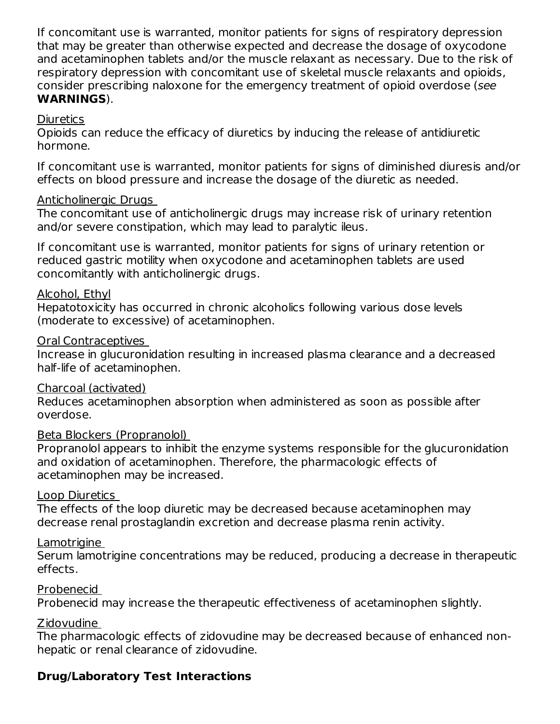If concomitant use is warranted, monitor patients for signs of respiratory depression that may be greater than otherwise expected and decrease the dosage of oxycodone and acetaminophen tablets and/or the muscle relaxant as necessary. Due to the risk of respiratory depression with concomitant use of skeletal muscle relaxants and opioids, consider prescribing naloxone for the emergency treatment of opioid overdose (see **WARNINGS**).

#### Diuretics

Opioids can reduce the efficacy of diuretics by inducing the release of antidiuretic hormone.

If concomitant use is warranted, monitor patients for signs of diminished diuresis and/or effects on blood pressure and increase the dosage of the diuretic as needed.

## Anticholinergic Drugs

The concomitant use of anticholinergic drugs may increase risk of urinary retention and/or severe constipation, which may lead to paralytic ileus.

If concomitant use is warranted, monitor patients for signs of urinary retention or reduced gastric motility when oxycodone and acetaminophen tablets are used concomitantly with anticholinergic drugs.

## Alcohol, Ethyl

Hepatotoxicity has occurred in chronic alcoholics following various dose levels (moderate to excessive) of acetaminophen.

## Oral Contraceptives

Increase in glucuronidation resulting in increased plasma clearance and a decreased half-life of acetaminophen.

## Charcoal (activated)

Reduces acetaminophen absorption when administered as soon as possible after overdose.

## Beta Blockers (Propranolol)

Propranolol appears to inhibit the enzyme systems responsible for the glucuronidation and oxidation of acetaminophen. Therefore, the pharmacologic effects of acetaminophen may be increased.

## Loop Diuretics

The effects of the loop diuretic may be decreased because acetaminophen may decrease renal prostaglandin excretion and decrease plasma renin activity.

## Lamotrigine

Serum lamotrigine concentrations may be reduced, producing a decrease in therapeutic effects.

#### Probenecid

Probenecid may increase the therapeutic effectiveness of acetaminophen slightly.

## Zidovudine

The pharmacologic effects of zidovudine may be decreased because of enhanced nonhepatic or renal clearance of zidovudine.

## **Drug/Laboratory Test Interactions**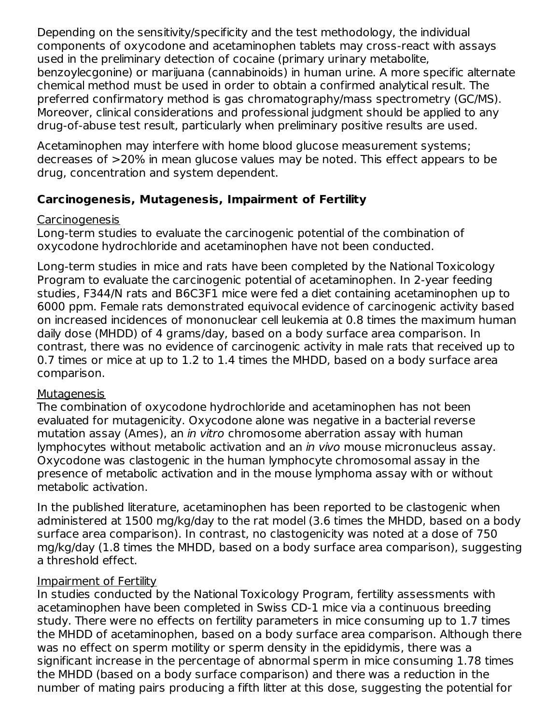Depending on the sensitivity/specificity and the test methodology, the individual components of oxycodone and acetaminophen tablets may cross-react with assays used in the preliminary detection of cocaine (primary urinary metabolite, benzoylecgonine) or marijuana (cannabinoids) in human urine. A more specific alternate chemical method must be used in order to obtain a confirmed analytical result. The preferred confirmatory method is gas chromatography/mass spectrometry (GC/MS). Moreover, clinical considerations and professional judgment should be applied to any drug-of-abuse test result, particularly when preliminary positive results are used.

Acetaminophen may interfere with home blood glucose measurement systems; decreases of >20% in mean glucose values may be noted. This effect appears to be drug, concentration and system dependent.

## **Carcinogenesis, Mutagenesis, Impairment of Fertility**

## Carcinogenesis

Long-term studies to evaluate the carcinogenic potential of the combination of oxycodone hydrochloride and acetaminophen have not been conducted.

Long-term studies in mice and rats have been completed by the National Toxicology Program to evaluate the carcinogenic potential of acetaminophen. In 2-year feeding studies, F344/N rats and B6C3F1 mice were fed a diet containing acetaminophen up to 6000 ppm. Female rats demonstrated equivocal evidence of carcinogenic activity based on increased incidences of mononuclear cell leukemia at 0.8 times the maximum human daily dose (MHDD) of 4 grams/day, based on a body surface area comparison. In contrast, there was no evidence of carcinogenic activity in male rats that received up to 0.7 times or mice at up to 1.2 to 1.4 times the MHDD, based on a body surface area comparison.

## Mutagenesis

The combination of oxycodone hydrochloride and acetaminophen has not been evaluated for mutagenicity. Oxycodone alone was negative in a bacterial reverse mutation assay (Ames), an in vitro chromosome aberration assay with human lymphocytes without metabolic activation and an in vivo mouse micronucleus assay. Oxycodone was clastogenic in the human lymphocyte chromosomal assay in the presence of metabolic activation and in the mouse lymphoma assay with or without metabolic activation.

In the published literature, acetaminophen has been reported to be clastogenic when administered at 1500 mg/kg/day to the rat model (3.6 times the MHDD, based on a body surface area comparison). In contrast, no clastogenicity was noted at a dose of 750 mg/kg/day (1.8 times the MHDD, based on a body surface area comparison), suggesting a threshold effect.

## Impairment of Fertility

In studies conducted by the National Toxicology Program, fertility assessments with acetaminophen have been completed in Swiss CD-1 mice via a continuous breeding study. There were no effects on fertility parameters in mice consuming up to 1.7 times the MHDD of acetaminophen, based on a body surface area comparison. Although there was no effect on sperm motility or sperm density in the epididymis, there was a significant increase in the percentage of abnormal sperm in mice consuming 1.78 times the MHDD (based on a body surface comparison) and there was a reduction in the number of mating pairs producing a fifth litter at this dose, suggesting the potential for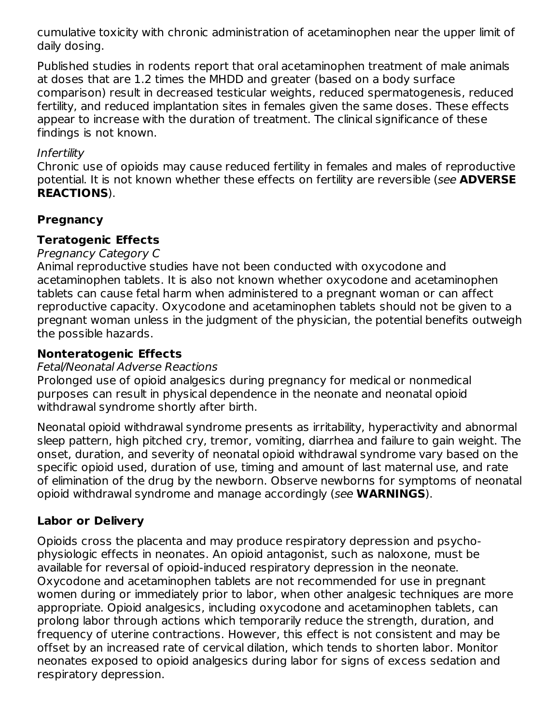cumulative toxicity with chronic administration of acetaminophen near the upper limit of daily dosing.

Published studies in rodents report that oral acetaminophen treatment of male animals at doses that are 1.2 times the MHDD and greater (based on a body surface comparison) result in decreased testicular weights, reduced spermatogenesis, reduced fertility, and reduced implantation sites in females given the same doses. These effects appear to increase with the duration of treatment. The clinical significance of these findings is not known.

## Infertility

Chronic use of opioids may cause reduced fertility in females and males of reproductive potential. It is not known whether these effects on fertility are reversible (see **ADVERSE REACTIONS**).

## **Pregnancy**

## **Teratogenic Effects**

#### Pregnancy Category C

Animal reproductive studies have not been conducted with oxycodone and acetaminophen tablets. It is also not known whether oxycodone and acetaminophen tablets can cause fetal harm when administered to a pregnant woman or can affect reproductive capacity. Oxycodone and acetaminophen tablets should not be given to a pregnant woman unless in the judgment of the physician, the potential benefits outweigh the possible hazards.

#### **Nonteratogenic Effects**

#### Fetal/Neonatal Adverse Reactions

Prolonged use of opioid analgesics during pregnancy for medical or nonmedical purposes can result in physical dependence in the neonate and neonatal opioid withdrawal syndrome shortly after birth.

Neonatal opioid withdrawal syndrome presents as irritability, hyperactivity and abnormal sleep pattern, high pitched cry, tremor, vomiting, diarrhea and failure to gain weight. The onset, duration, and severity of neonatal opioid withdrawal syndrome vary based on the specific opioid used, duration of use, timing and amount of last maternal use, and rate of elimination of the drug by the newborn. Observe newborns for symptoms of neonatal opioid withdrawal syndrome and manage accordingly (see **WARNINGS**).

## **Labor or Delivery**

Opioids cross the placenta and may produce respiratory depression and psychophysiologic effects in neonates. An opioid antagonist, such as naloxone, must be available for reversal of opioid-induced respiratory depression in the neonate. Oxycodone and acetaminophen tablets are not recommended for use in pregnant women during or immediately prior to labor, when other analgesic techniques are more appropriate. Opioid analgesics, including oxycodone and acetaminophen tablets, can prolong labor through actions which temporarily reduce the strength, duration, and frequency of uterine contractions. However, this effect is not consistent and may be offset by an increased rate of cervical dilation, which tends to shorten labor. Monitor neonates exposed to opioid analgesics during labor for signs of excess sedation and respiratory depression.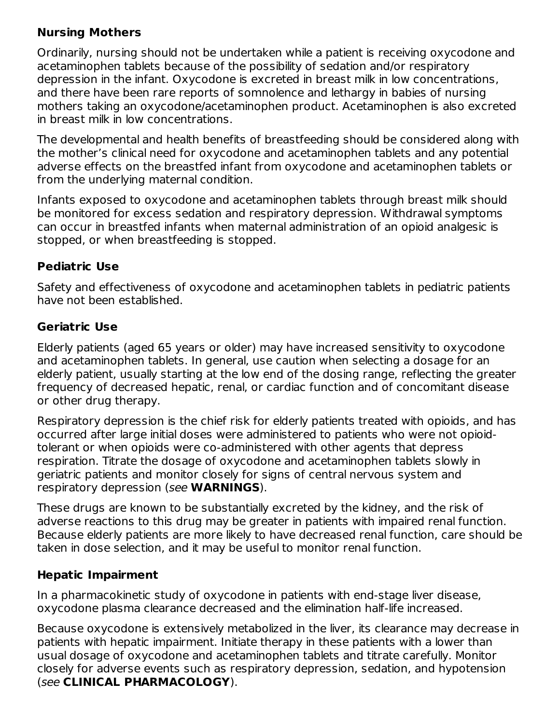# **Nursing Mothers**

Ordinarily, nursing should not be undertaken while a patient is receiving oxycodone and acetaminophen tablets because of the possibility of sedation and/or respiratory depression in the infant. Oxycodone is excreted in breast milk in low concentrations, and there have been rare reports of somnolence and lethargy in babies of nursing mothers taking an oxycodone/acetaminophen product. Acetaminophen is also excreted in breast milk in low concentrations.

The developmental and health benefits of breastfeeding should be considered along with the mother's clinical need for oxycodone and acetaminophen tablets and any potential adverse effects on the breastfed infant from oxycodone and acetaminophen tablets or from the underlying maternal condition.

Infants exposed to oxycodone and acetaminophen tablets through breast milk should be monitored for excess sedation and respiratory depression. Withdrawal symptoms can occur in breastfed infants when maternal administration of an opioid analgesic is stopped, or when breastfeeding is stopped.

# **Pediatric Use**

Safety and effectiveness of oxycodone and acetaminophen tablets in pediatric patients have not been established.

## **Geriatric Use**

Elderly patients (aged 65 years or older) may have increased sensitivity to oxycodone and acetaminophen tablets. In general, use caution when selecting a dosage for an elderly patient, usually starting at the low end of the dosing range, reflecting the greater frequency of decreased hepatic, renal, or cardiac function and of concomitant disease or other drug therapy.

Respiratory depression is the chief risk for elderly patients treated with opioids, and has occurred after large initial doses were administered to patients who were not opioidtolerant or when opioids were co-administered with other agents that depress respiration. Titrate the dosage of oxycodone and acetaminophen tablets slowly in geriatric patients and monitor closely for signs of central nervous system and respiratory depression (see **WARNINGS**).

These drugs are known to be substantially excreted by the kidney, and the risk of adverse reactions to this drug may be greater in patients with impaired renal function. Because elderly patients are more likely to have decreased renal function, care should be taken in dose selection, and it may be useful to monitor renal function.

## **Hepatic Impairment**

In a pharmacokinetic study of oxycodone in patients with end-stage liver disease, oxycodone plasma clearance decreased and the elimination half-life increased.

Because oxycodone is extensively metabolized in the liver, its clearance may decrease in patients with hepatic impairment. Initiate therapy in these patients with a lower than usual dosage of oxycodone and acetaminophen tablets and titrate carefully. Monitor closely for adverse events such as respiratory depression, sedation, and hypotension (see **CLINICAL PHARMACOLOGY**).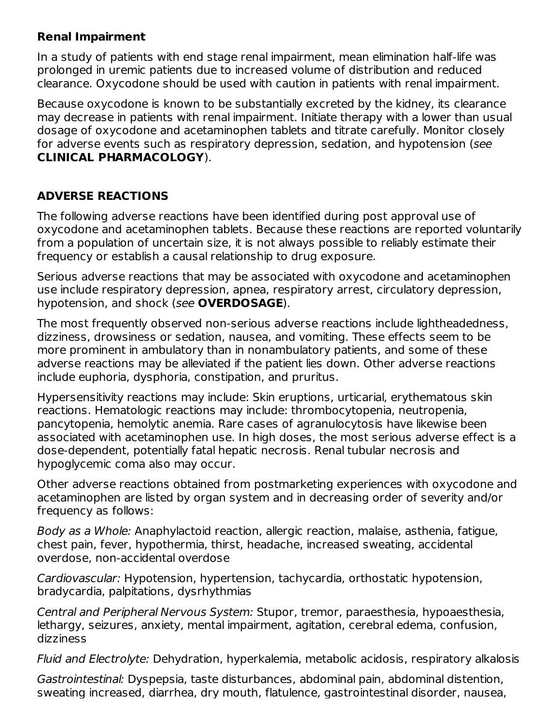#### **Renal Impairment**

In a study of patients with end stage renal impairment, mean elimination half-life was prolonged in uremic patients due to increased volume of distribution and reduced clearance. Oxycodone should be used with caution in patients with renal impairment.

Because oxycodone is known to be substantially excreted by the kidney, its clearance may decrease in patients with renal impairment. Initiate therapy with a lower than usual dosage of oxycodone and acetaminophen tablets and titrate carefully. Monitor closely for adverse events such as respiratory depression, sedation, and hypotension (see **CLINICAL PHARMACOLOGY**).

## **ADVERSE REACTIONS**

The following adverse reactions have been identified during post approval use of oxycodone and acetaminophen tablets. Because these reactions are reported voluntarily from a population of uncertain size, it is not always possible to reliably estimate their frequency or establish a causal relationship to drug exposure.

Serious adverse reactions that may be associated with oxycodone and acetaminophen use include respiratory depression, apnea, respiratory arrest, circulatory depression, hypotension, and shock (see **OVERDOSAGE**).

The most frequently observed non-serious adverse reactions include lightheadedness, dizziness, drowsiness or sedation, nausea, and vomiting. These effects seem to be more prominent in ambulatory than in nonambulatory patients, and some of these adverse reactions may be alleviated if the patient lies down. Other adverse reactions include euphoria, dysphoria, constipation, and pruritus.

Hypersensitivity reactions may include: Skin eruptions, urticarial, erythematous skin reactions. Hematologic reactions may include: thrombocytopenia, neutropenia, pancytopenia, hemolytic anemia. Rare cases of agranulocytosis have likewise been associated with acetaminophen use. In high doses, the most serious adverse effect is a dose-dependent, potentially fatal hepatic necrosis. Renal tubular necrosis and hypoglycemic coma also may occur.

Other adverse reactions obtained from postmarketing experiences with oxycodone and acetaminophen are listed by organ system and in decreasing order of severity and/or frequency as follows:

Body as a Whole: Anaphylactoid reaction, allergic reaction, malaise, asthenia, fatigue, chest pain, fever, hypothermia, thirst, headache, increased sweating, accidental overdose, non-accidental overdose

Cardiovascular: Hypotension, hypertension, tachycardia, orthostatic hypotension, bradycardia, palpitations, dysrhythmias

Central and Peripheral Nervous System: Stupor, tremor, paraesthesia, hypoaesthesia, lethargy, seizures, anxiety, mental impairment, agitation, cerebral edema, confusion, dizziness

Fluid and Electrolyte: Dehydration, hyperkalemia, metabolic acidosis, respiratory alkalosis

Gastrointestinal: Dyspepsia, taste disturbances, abdominal pain, abdominal distention, sweating increased, diarrhea, dry mouth, flatulence, gastrointestinal disorder, nausea,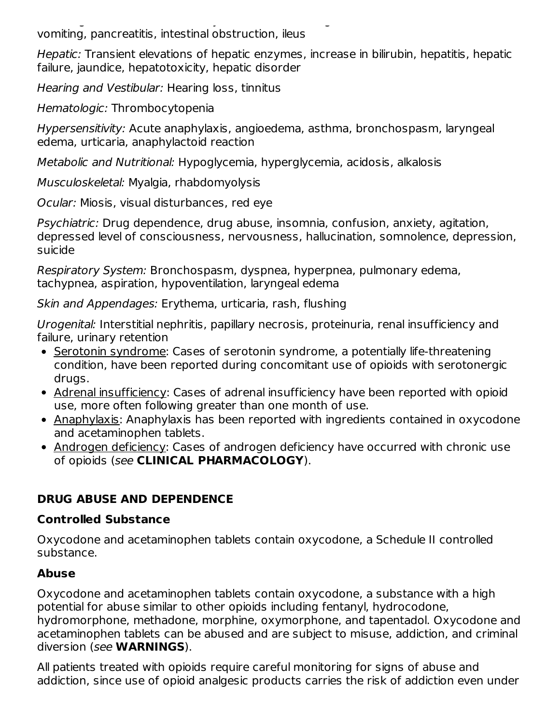sweating increased, diarrhea, dry mouth, flatulence, gastrointestinal disorder, nausea, vomiting, pancreatitis, intestinal obstruction, ileus

Hepatic: Transient elevations of hepatic enzymes, increase in bilirubin, hepatitis, hepatic failure, jaundice, hepatotoxicity, hepatic disorder

Hearing and Vestibular: Hearing loss, tinnitus

Hematologic: Thrombocytopenia

Hypersensitivity: Acute anaphylaxis, angioedema, asthma, bronchospasm, laryngeal edema, urticaria, anaphylactoid reaction

Metabolic and Nutritional: Hypoglycemia, hyperglycemia, acidosis, alkalosis

Musculoskeletal: Myalgia, rhabdomyolysis

Ocular: Miosis, visual disturbances, red eye

Psychiatric: Drug dependence, drug abuse, insomnia, confusion, anxiety, agitation, depressed level of consciousness, nervousness, hallucination, somnolence, depression, suicide

Respiratory System: Bronchospasm, dyspnea, hyperpnea, pulmonary edema, tachypnea, aspiration, hypoventilation, laryngeal edema

Skin and Appendages: Erythema, urticaria, rash, flushing

Urogenital: Interstitial nephritis, papillary necrosis, proteinuria, renal insufficiency and failure, urinary retention

- Serotonin syndrome: Cases of serotonin syndrome, a potentially life-threatening condition, have been reported during concomitant use of opioids with serotonergic drugs.
- Adrenal insufficiency: Cases of adrenal insufficiency have been reported with opioid use, more often following greater than one month of use.
- Anaphylaxis: Anaphylaxis has been reported with ingredients contained in oxycodone and acetaminophen tablets.
- Androgen deficiency: Cases of androgen deficiency have occurred with chronic use of opioids (see **CLINICAL PHARMACOLOGY**).

# **DRUG ABUSE AND DEPENDENCE**

## **Controlled Substance**

Oxycodone and acetaminophen tablets contain oxycodone, a Schedule II controlled substance.

# **Abuse**

Oxycodone and acetaminophen tablets contain oxycodone, a substance with a high potential for abuse similar to other opioids including fentanyl, hydrocodone, hydromorphone, methadone, morphine, oxymorphone, and tapentadol. Oxycodone and acetaminophen tablets can be abused and are subject to misuse, addiction, and criminal diversion (see **WARNINGS**).

All patients treated with opioids require careful monitoring for signs of abuse and addiction, since use of opioid analgesic products carries the risk of addiction even under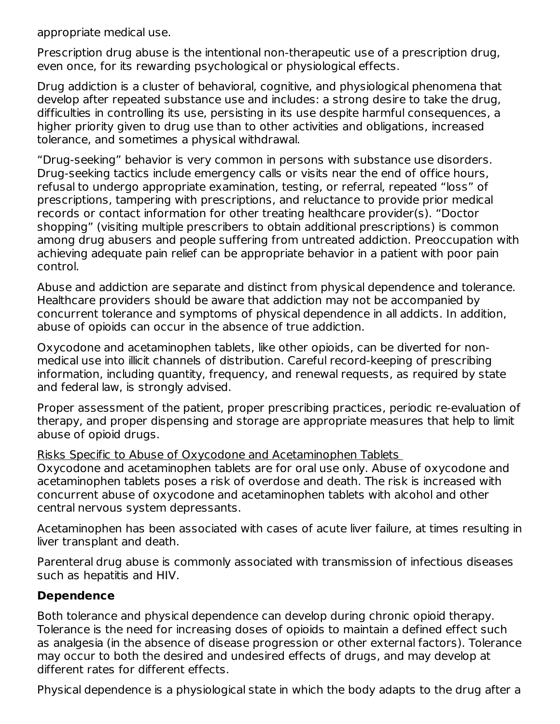appropriate medical use.

Prescription drug abuse is the intentional non-therapeutic use of a prescription drug, even once, for its rewarding psychological or physiological effects.

Drug addiction is a cluster of behavioral, cognitive, and physiological phenomena that develop after repeated substance use and includes: a strong desire to take the drug, difficulties in controlling its use, persisting in its use despite harmful consequences, a higher priority given to drug use than to other activities and obligations, increased tolerance, and sometimes a physical withdrawal.

"Drug-seeking" behavior is very common in persons with substance use disorders. Drug-seeking tactics include emergency calls or visits near the end of office hours, refusal to undergo appropriate examination, testing, or referral, repeated "loss" of prescriptions, tampering with prescriptions, and reluctance to provide prior medical records or contact information for other treating healthcare provider(s). "Doctor shopping" (visiting multiple prescribers to obtain additional prescriptions) is common among drug abusers and people suffering from untreated addiction. Preoccupation with achieving adequate pain relief can be appropriate behavior in a patient with poor pain control.

Abuse and addiction are separate and distinct from physical dependence and tolerance. Healthcare providers should be aware that addiction may not be accompanied by concurrent tolerance and symptoms of physical dependence in all addicts. In addition, abuse of opioids can occur in the absence of true addiction.

Oxycodone and acetaminophen tablets, like other opioids, can be diverted for nonmedical use into illicit channels of distribution. Careful record-keeping of prescribing information, including quantity, frequency, and renewal requests, as required by state and federal law, is strongly advised.

Proper assessment of the patient, proper prescribing practices, periodic re-evaluation of therapy, and proper dispensing and storage are appropriate measures that help to limit abuse of opioid drugs.

Risks Specific to Abuse of Oxycodone and Acetaminophen Tablets

Oxycodone and acetaminophen tablets are for oral use only. Abuse of oxycodone and acetaminophen tablets poses a risk of overdose and death. The risk is increased with concurrent abuse of oxycodone and acetaminophen tablets with alcohol and other central nervous system depressants.

Acetaminophen has been associated with cases of acute liver failure, at times resulting in liver transplant and death.

Parenteral drug abuse is commonly associated with transmission of infectious diseases such as hepatitis and HIV.

## **Dependence**

Both tolerance and physical dependence can develop during chronic opioid therapy. Tolerance is the need for increasing doses of opioids to maintain a defined effect such as analgesia (in the absence of disease progression or other external factors). Tolerance may occur to both the desired and undesired effects of drugs, and may develop at different rates for different effects.

Physical dependence is a physiological state in which the body adapts to the drug after a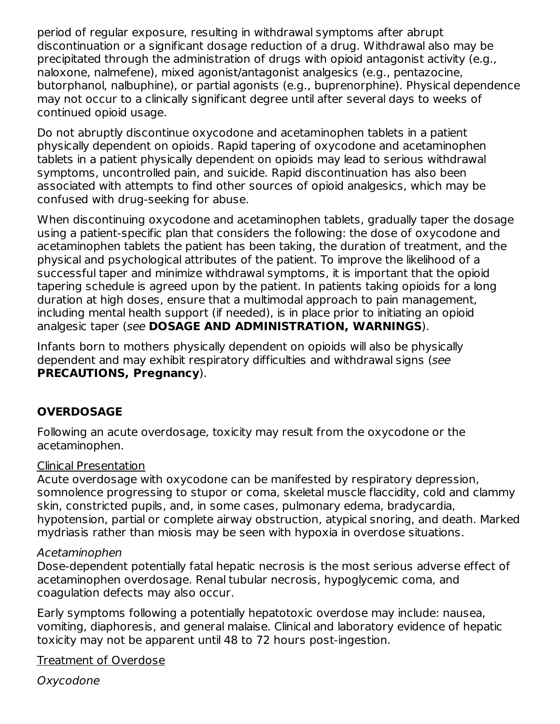period of regular exposure, resulting in withdrawal symptoms after abrupt discontinuation or a significant dosage reduction of a drug. Withdrawal also may be precipitated through the administration of drugs with opioid antagonist activity (e.g., naloxone, nalmefene), mixed agonist/antagonist analgesics (e.g., pentazocine, butorphanol, nalbuphine), or partial agonists (e.g., buprenorphine). Physical dependence may not occur to a clinically significant degree until after several days to weeks of continued opioid usage.

Do not abruptly discontinue oxycodone and acetaminophen tablets in a patient physically dependent on opioids. Rapid tapering of oxycodone and acetaminophen tablets in a patient physically dependent on opioids may lead to serious withdrawal symptoms, uncontrolled pain, and suicide. Rapid discontinuation has also been associated with attempts to find other sources of opioid analgesics, which may be confused with drug-seeking for abuse.

When discontinuing oxycodone and acetaminophen tablets, gradually taper the dosage using a patient-specific plan that considers the following: the dose of oxycodone and acetaminophen tablets the patient has been taking, the duration of treatment, and the physical and psychological attributes of the patient. To improve the likelihood of a successful taper and minimize withdrawal symptoms, it is important that the opioid tapering schedule is agreed upon by the patient. In patients taking opioids for a long duration at high doses, ensure that a multimodal approach to pain management, including mental health support (if needed), is in place prior to initiating an opioid analgesic taper (see **DOSAGE AND ADMINISTRATION, WARNINGS**).

Infants born to mothers physically dependent on opioids will also be physically dependent and may exhibit respiratory difficulties and withdrawal signs (see **PRECAUTIONS, Pregnancy**).

## **OVERDOSAGE**

Following an acute overdosage, toxicity may result from the oxycodone or the acetaminophen.

## Clinical Presentation

Acute overdosage with oxycodone can be manifested by respiratory depression, somnolence progressing to stupor or coma, skeletal muscle flaccidity, cold and clammy skin, constricted pupils, and, in some cases, pulmonary edema, bradycardia, hypotension, partial or complete airway obstruction, atypical snoring, and death. Marked mydriasis rather than miosis may be seen with hypoxia in overdose situations.

## Acetaminophen

Dose-dependent potentially fatal hepatic necrosis is the most serious adverse effect of acetaminophen overdosage. Renal tubular necrosis, hypoglycemic coma, and coagulation defects may also occur.

Early symptoms following a potentially hepatotoxic overdose may include: nausea, vomiting, diaphoresis, and general malaise. Clinical and laboratory evidence of hepatic toxicity may not be apparent until 48 to 72 hours post-ingestion.

Treatment of Overdose

Oxycodone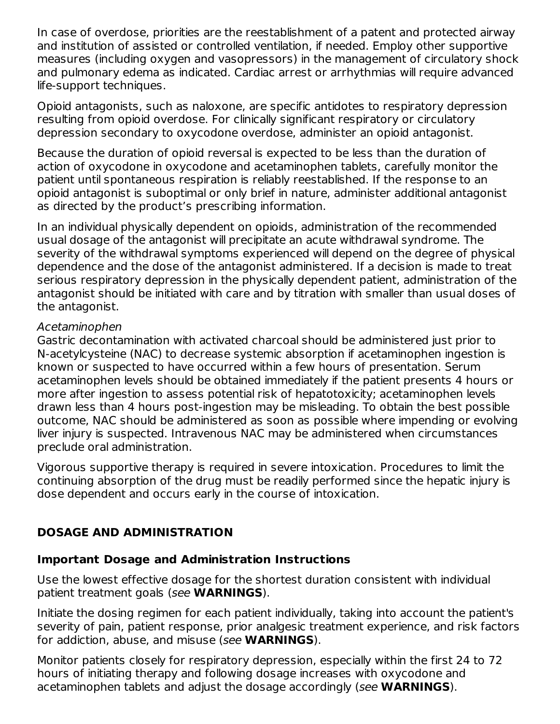In case of overdose, priorities are the reestablishment of a patent and protected airway and institution of assisted or controlled ventilation, if needed. Employ other supportive measures (including oxygen and vasopressors) in the management of circulatory shock and pulmonary edema as indicated. Cardiac arrest or arrhythmias will require advanced life-support techniques.

Opioid antagonists, such as naloxone, are specific antidotes to respiratory depression resulting from opioid overdose. For clinically significant respiratory or circulatory depression secondary to oxycodone overdose, administer an opioid antagonist.

Because the duration of opioid reversal is expected to be less than the duration of action of oxycodone in oxycodone and acetaminophen tablets, carefully monitor the patient until spontaneous respiration is reliably reestablished. If the response to an opioid antagonist is suboptimal or only brief in nature, administer additional antagonist as directed by the product's prescribing information.

In an individual physically dependent on opioids, administration of the recommended usual dosage of the antagonist will precipitate an acute withdrawal syndrome. The severity of the withdrawal symptoms experienced will depend on the degree of physical dependence and the dose of the antagonist administered. If a decision is made to treat serious respiratory depression in the physically dependent patient, administration of the antagonist should be initiated with care and by titration with smaller than usual doses of the antagonist.

#### Acetaminophen

Gastric decontamination with activated charcoal should be administered just prior to N-acetylcysteine (NAC) to decrease systemic absorption if acetaminophen ingestion is known or suspected to have occurred within a few hours of presentation. Serum acetaminophen levels should be obtained immediately if the patient presents 4 hours or more after ingestion to assess potential risk of hepatotoxicity; acetaminophen levels drawn less than 4 hours post-ingestion may be misleading. To obtain the best possible outcome, NAC should be administered as soon as possible where impending or evolving liver injury is suspected. Intravenous NAC may be administered when circumstances preclude oral administration.

Vigorous supportive therapy is required in severe intoxication. Procedures to limit the continuing absorption of the drug must be readily performed since the hepatic injury is dose dependent and occurs early in the course of intoxication.

## **DOSAGE AND ADMINISTRATION**

## **Important Dosage and Administration Instructions**

Use the lowest effective dosage for the shortest duration consistent with individual patient treatment goals (see **WARNINGS**).

Initiate the dosing regimen for each patient individually, taking into account the patient's severity of pain, patient response, prior analgesic treatment experience, and risk factors for addiction, abuse, and misuse (see **WARNINGS**).

Monitor patients closely for respiratory depression, especially within the first 24 to 72 hours of initiating therapy and following dosage increases with oxycodone and acetaminophen tablets and adjust the dosage accordingly (see **WARNINGS**).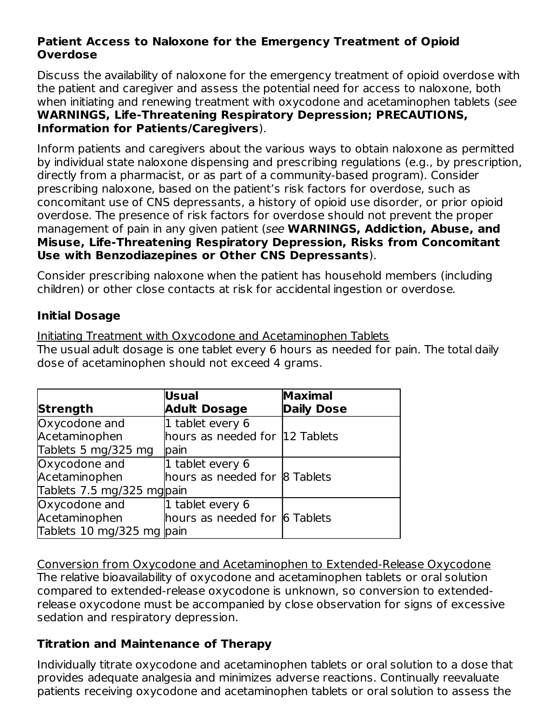## **Patient Access to Naloxone for the Emergency Treatment of Opioid Overdose**

Discuss the availability of naloxone for the emergency treatment of opioid overdose with the patient and caregiver and assess the potential need for access to naloxone, both when initiating and renewing treatment with oxycodone and acetaminophen tablets (see **WARNINGS, Life-Threatening Respiratory Depression; PRECAUTIONS,**

## **Information for Patients/Caregivers**).

Inform patients and caregivers about the various ways to obtain naloxone as permitted by individual state naloxone dispensing and prescribing regulations (e.g., by prescription, directly from a pharmacist, or as part of a community-based program). Consider prescribing naloxone, based on the patient's risk factors for overdose, such as concomitant use of CNS depressants, a history of opioid use disorder, or prior opioid overdose. The presence of risk factors for overdose should not prevent the proper management of pain in any given patient (see **WARNINGS, Addiction, Abuse, and Misuse, Life-Threatening Respiratory Depression, Risks from Concomitant Use with Benzodiazepines or Other CNS Depressants**).

Consider prescribing naloxone when the patient has household members (including children) or other close contacts at risk for accidental ingestion or overdose.

## **Initial Dosage**

Initiating Treatment with Oxycodone and Acetaminophen Tablets The usual adult dosage is one tablet every 6 hours as needed for pain. The total daily dose of acetaminophen should not exceed 4 grams.

|                            | <b>Usual</b>                   | <b>Maximal</b>    |
|----------------------------|--------------------------------|-------------------|
| Strength                   | <b>Adult Dosage</b>            | <b>Daily Dose</b> |
| Oxycodone and              | 1 tablet every 6               |                   |
| Acetaminophen              | hours as needed for 12 Tablets |                   |
| Tablets 5 mg/325 mg        | pain                           |                   |
| Oxycodone and              | 1 tablet every 6               |                   |
| Acetaminophen              | hours as needed for 8 Tablets  |                   |
| Tablets 7.5 mg/325 mg pain |                                |                   |
| Oxycodone and              | 1 tablet every 6               |                   |
| Acetaminophen              | hours as needed for 6 Tablets  |                   |
| Tablets 10 mg/325 mg pain  |                                |                   |

Conversion from Oxycodone and Acetaminophen to Extended-Release Oxycodone The relative bioavailability of oxycodone and acetaminophen tablets or oral solution compared to extended-release oxycodone is unknown, so conversion to extendedrelease oxycodone must be accompanied by close observation for signs of excessive sedation and respiratory depression.

## **Titration and Maintenance of Therapy**

Individually titrate oxycodone and acetaminophen tablets or oral solution to a dose that provides adequate analgesia and minimizes adverse reactions. Continually reevaluate patients receiving oxycodone and acetaminophen tablets or oral solution to assess the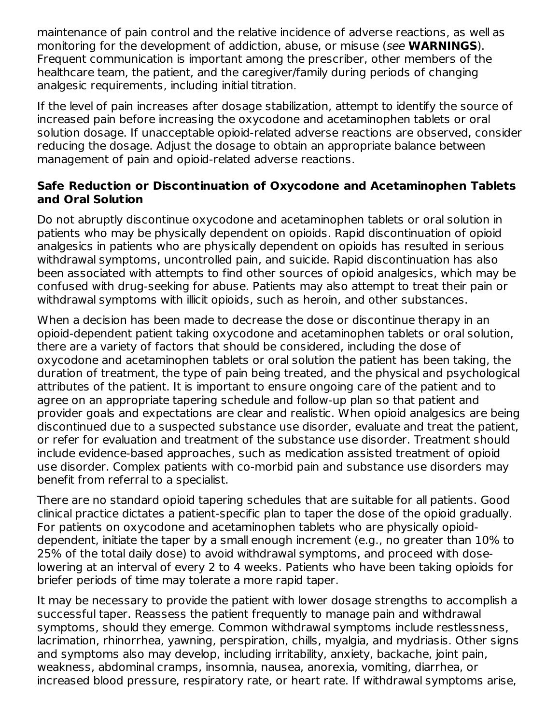maintenance of pain control and the relative incidence of adverse reactions, as well as monitoring for the development of addiction, abuse, or misuse (see **WARNINGS**). Frequent communication is important among the prescriber, other members of the healthcare team, the patient, and the caregiver/family during periods of changing analgesic requirements, including initial titration.

If the level of pain increases after dosage stabilization, attempt to identify the source of increased pain before increasing the oxycodone and acetaminophen tablets or oral solution dosage. If unacceptable opioid-related adverse reactions are observed, consider reducing the dosage. Adjust the dosage to obtain an appropriate balance between management of pain and opioid-related adverse reactions.

## **Safe Reduction or Discontinuation of Oxycodone and Acetaminophen Tablets and Oral Solution**

Do not abruptly discontinue oxycodone and acetaminophen tablets or oral solution in patients who may be physically dependent on opioids. Rapid discontinuation of opioid analgesics in patients who are physically dependent on opioids has resulted in serious withdrawal symptoms, uncontrolled pain, and suicide. Rapid discontinuation has also been associated with attempts to find other sources of opioid analgesics, which may be confused with drug-seeking for abuse. Patients may also attempt to treat their pain or withdrawal symptoms with illicit opioids, such as heroin, and other substances.

When a decision has been made to decrease the dose or discontinue therapy in an opioid-dependent patient taking oxycodone and acetaminophen tablets or oral solution, there are a variety of factors that should be considered, including the dose of oxycodone and acetaminophen tablets or oral solution the patient has been taking, the duration of treatment, the type of pain being treated, and the physical and psychological attributes of the patient. It is important to ensure ongoing care of the patient and to agree on an appropriate tapering schedule and follow-up plan so that patient and provider goals and expectations are clear and realistic. When opioid analgesics are being discontinued due to a suspected substance use disorder, evaluate and treat the patient, or refer for evaluation and treatment of the substance use disorder. Treatment should include evidence-based approaches, such as medication assisted treatment of opioid use disorder. Complex patients with co-morbid pain and substance use disorders may benefit from referral to a specialist.

There are no standard opioid tapering schedules that are suitable for all patients. Good clinical practice dictates a patient-specific plan to taper the dose of the opioid gradually. For patients on oxycodone and acetaminophen tablets who are physically opioiddependent, initiate the taper by a small enough increment (e.g., no greater than 10% to 25% of the total daily dose) to avoid withdrawal symptoms, and proceed with doselowering at an interval of every 2 to 4 weeks. Patients who have been taking opioids for briefer periods of time may tolerate a more rapid taper.

It may be necessary to provide the patient with lower dosage strengths to accomplish a successful taper. Reassess the patient frequently to manage pain and withdrawal symptoms, should they emerge. Common withdrawal symptoms include restlessness, lacrimation, rhinorrhea, yawning, perspiration, chills, myalgia, and mydriasis. Other signs and symptoms also may develop, including irritability, anxiety, backache, joint pain, weakness, abdominal cramps, insomnia, nausea, anorexia, vomiting, diarrhea, or increased blood pressure, respiratory rate, or heart rate. If withdrawal symptoms arise,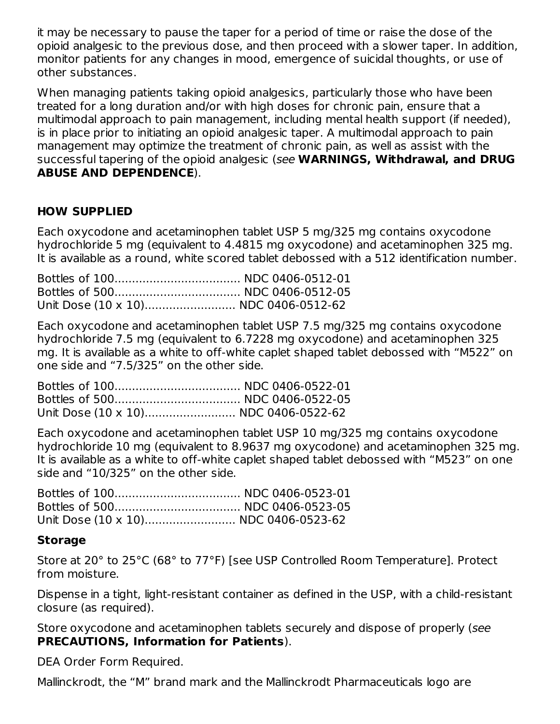it may be necessary to pause the taper for a period of time or raise the dose of the opioid analgesic to the previous dose, and then proceed with a slower taper. In addition, monitor patients for any changes in mood, emergence of suicidal thoughts, or use of other substances.

When managing patients taking opioid analgesics, particularly those who have been treated for a long duration and/or with high doses for chronic pain, ensure that a multimodal approach to pain management, including mental health support (if needed), is in place prior to initiating an opioid analgesic taper. A multimodal approach to pain management may optimize the treatment of chronic pain, as well as assist with the successful tapering of the opioid analgesic (see **WARNINGS, Withdrawal, and DRUG ABUSE AND DEPENDENCE**).

## **HOW SUPPLIED**

Each oxycodone and acetaminophen tablet USP 5 mg/325 mg contains oxycodone hydrochloride 5 mg (equivalent to 4.4815 mg oxycodone) and acetaminophen 325 mg. It is available as a round, white scored tablet debossed with a 512 identification number.

| Unit Dose (10 x 10) NDC 0406-0512-62 |  |
|--------------------------------------|--|

Each oxycodone and acetaminophen tablet USP 7.5 mg/325 mg contains oxycodone hydrochloride 7.5 mg (equivalent to 6.7228 mg oxycodone) and acetaminophen 325 mg. It is available as a white to off-white caplet shaped tablet debossed with "M522" on one side and "7.5/325" on the other side.

| Unit Dose (10 x 10) NDC 0406-0522-62 |  |
|--------------------------------------|--|

Each oxycodone and acetaminophen tablet USP 10 mg/325 mg contains oxycodone hydrochloride 10 mg (equivalent to 8.9637 mg oxycodone) and acetaminophen 325 mg. It is available as a white to off-white caplet shaped tablet debossed with "M523" on one side and "10/325" on the other side.

| Unit Dose (10 x 10) NDC 0406-0523-62 |  |
|--------------------------------------|--|

## **Storage**

Store at 20° to 25°C (68° to 77°F) [see USP Controlled Room Temperature]. Protect from moisture.

Dispense in a tight, light-resistant container as defined in the USP, with a child-resistant closure (as required).

Store oxycodone and acetaminophen tablets securely and dispose of properly (see **PRECAUTIONS, Information for Patients**).

DEA Order Form Required.

Mallinckrodt, the "M" brand mark and the Mallinckrodt Pharmaceuticals logo are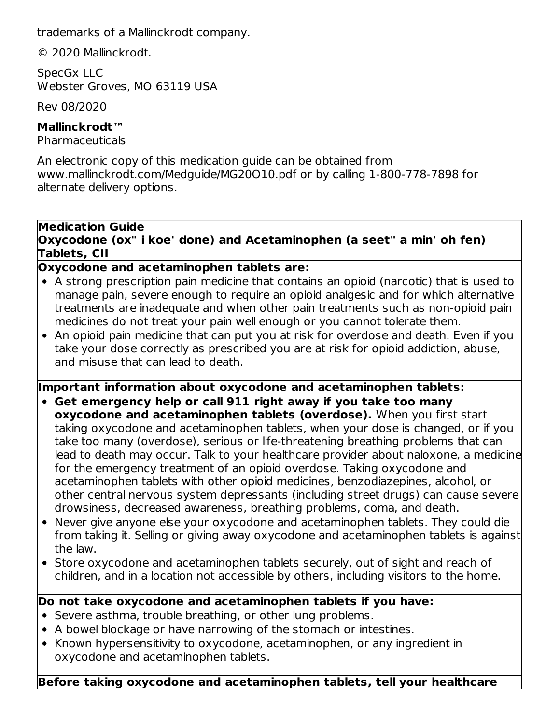trademarks of a Mallinckrodt company.

© 2020 Mallinckrodt.

SpecGx LLC Webster Groves, MO 63119 USA

Rev 08/2020

# **Mallinckrodt™**

Pharmaceuticals

An electronic copy of this medication guide can be obtained from www.mallinckrodt.com/Medguide/MG20O10.pdf or by calling 1-800-778-7898 for alternate delivery options.

## **Medication Guide Oxycodone (ox" i koe' done) and Acetaminophen (a seet" a min' oh fen) Tablets, CII**

# **Oxycodone and acetaminophen tablets are:**

- A strong prescription pain medicine that contains an opioid (narcotic) that is used to manage pain, severe enough to require an opioid analgesic and for which alternative treatments are inadequate and when other pain treatments such as non-opioid pain medicines do not treat your pain well enough or you cannot tolerate them.
- An opioid pain medicine that can put you at risk for overdose and death. Even if you take your dose correctly as prescribed you are at risk for opioid addiction, abuse, and misuse that can lead to death.

# **Important information about oxycodone and acetaminophen tablets:**

- **Get emergency help or call 911 right away if you take too many oxycodone and acetaminophen tablets (overdose).** When you first start taking oxycodone and acetaminophen tablets, when your dose is changed, or if you take too many (overdose), serious or life-threatening breathing problems that can lead to death may occur. Talk to your healthcare provider about naloxone, a medicine for the emergency treatment of an opioid overdose. Taking oxycodone and acetaminophen tablets with other opioid medicines, benzodiazepines, alcohol, or other central nervous system depressants (including street drugs) can cause severe drowsiness, decreased awareness, breathing problems, coma, and death.
- Never give anyone else your oxycodone and acetaminophen tablets. They could die from taking it. Selling or giving away oxycodone and acetaminophen tablets is against the law.
- Store oxycodone and acetaminophen tablets securely, out of sight and reach of children, and in a location not accessible by others, including visitors to the home.

# **Do not take oxycodone and acetaminophen tablets if you have:**

- Severe asthma, trouble breathing, or other lung problems.
- A bowel blockage or have narrowing of the stomach or intestines.
- Known hypersensitivity to oxycodone, acetaminophen, or any ingredient in oxycodone and acetaminophen tablets.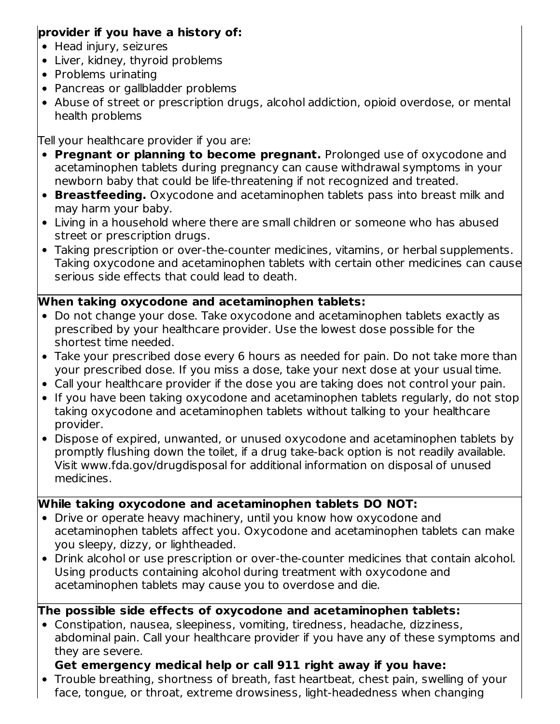# **provider if you have a history of:**

- Head injury, seizures
- Liver, kidney, thyroid problems
- Problems urinating
- Pancreas or gallbladder problems
- Abuse of street or prescription drugs, alcohol addiction, opioid overdose, or mental health problems

Tell your healthcare provider if you are:

- **Pregnant or planning to become pregnant.** Prolonged use of oxycodone and acetaminophen tablets during pregnancy can cause withdrawal symptoms in your newborn baby that could be life-threatening if not recognized and treated.
- **Breastfeeding.** Oxycodone and acetaminophen tablets pass into breast milk and may harm your baby.
- Living in a household where there are small children or someone who has abused street or prescription drugs.
- Taking prescription or over-the-counter medicines, vitamins, or herbal supplements. Taking oxycodone and acetaminophen tablets with certain other medicines can cause serious side effects that could lead to death.

# **When taking oxycodone and acetaminophen tablets:**

- Do not change your dose. Take oxycodone and acetaminophen tablets exactly as prescribed by your healthcare provider. Use the lowest dose possible for the shortest time needed.
- Take your prescribed dose every 6 hours as needed for pain. Do not take more than your prescribed dose. If you miss a dose, take your next dose at your usual time.
- Call your healthcare provider if the dose you are taking does not control your pain.
- If you have been taking oxycodone and acetaminophen tablets regularly, do not stop taking oxycodone and acetaminophen tablets without talking to your healthcare provider.
- Dispose of expired, unwanted, or unused oxycodone and acetaminophen tablets by promptly flushing down the toilet, if a drug take-back option is not readily available. Visit www.fda.gov/drugdisposal for additional information on disposal of unused medicines.

# **While taking oxycodone and acetaminophen tablets DO NOT:**

- Drive or operate heavy machinery, until you know how oxycodone and acetaminophen tablets affect you. Oxycodone and acetaminophen tablets can make you sleepy, dizzy, or lightheaded.
- Drink alcohol or use prescription or over-the-counter medicines that contain alcohol. Using products containing alcohol during treatment with oxycodone and acetaminophen tablets may cause you to overdose and die.

# **The possible side effects of oxycodone and acetaminophen tablets:**

- Constipation, nausea, sleepiness, vomiting, tiredness, headache, dizziness, abdominal pain. Call your healthcare provider if you have any of these symptoms and they are severe.
	- **Get emergency medical help or call 911 right away if you have:**
- Trouble breathing, shortness of breath, fast heartbeat, chest pain, swelling of your face, tongue, or throat, extreme drowsiness, light-headedness when changing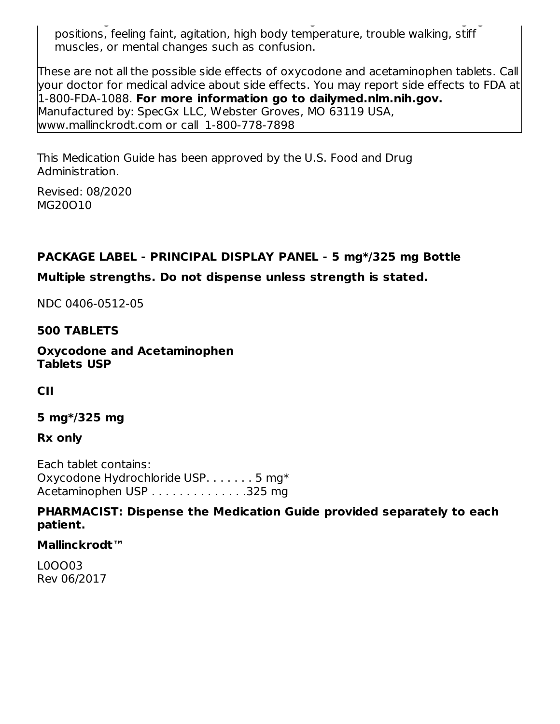face, tongue, or throat, extreme drowsiness, light-headedness when changing positions, feeling faint, agitation, high body temperature, trouble walking, stiff muscles, or mental changes such as confusion.

These are not all the possible side effects of oxycodone and acetaminophen tablets. Call your doctor for medical advice about side effects. You may report side effects to FDA at 1-800-FDA-1088. **For more information go to dailymed.nlm.nih.gov.** Manufactured by: SpecGx LLC, Webster Groves, MO 63119 USA, www.mallinckrodt.com or call 1-800-778-7898

This Medication Guide has been approved by the U.S. Food and Drug Administration.

Revised: 08/2020 MG20O10

## **PACKAGE LABEL - PRINCIPAL DISPLAY PANEL - 5 mg\*/325 mg Bottle**

## **Multiple strengths. Do not dispense unless strength is stated.**

NDC 0406-0512-05

## **500 TABLETS**

**Oxycodone and Acetaminophen Tablets USP**

**CII**

**5 mg\*/325 mg**

**Rx only**

Each tablet contains: Oxycodone Hydrochloride USP. . . . . . . 5 mg\* Acetaminophen USP . . . . . . . . . . . . . . . 325 mg

**PHARMACIST: Dispense the Medication Guide provided separately to each patient.**

#### **Mallinckrodt™**

L0OO03 Rev 06/2017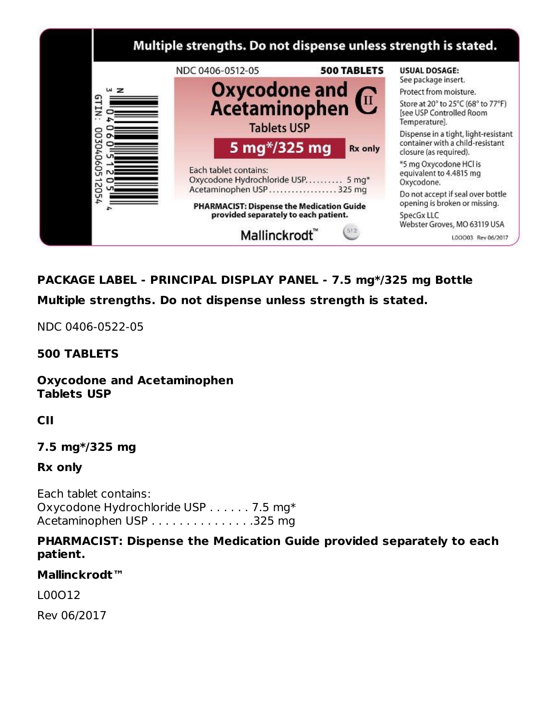

# **PACKAGE LABEL - PRINCIPAL DISPLAY PANEL - 7.5 mg\*/325 mg Bottle**

**Multiple strengths. Do not dispense unless strength is stated.**

NDC 0406-0522-05

#### **500 TABLETS**

#### **Oxycodone and Acetaminophen Tablets USP**

**CII**

**7.5 mg\*/325 mg**

#### **Rx only**

Each tablet contains: Oxycodone Hydrochloride USP . . . . . . 7.5 mg\* Acetaminophen USP . . . . . . . . . . . . . . . 325 mg

## **PHARMACIST: Dispense the Medication Guide provided separately to each patient.**

## **Mallinckrodt™**

L00O12

Rev 06/2017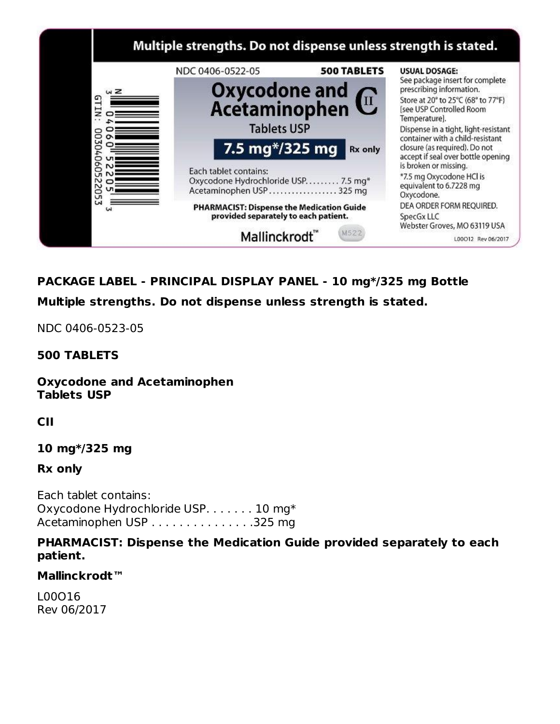

# **PACKAGE LABEL - PRINCIPAL DISPLAY PANEL - 10 mg\*/325 mg Bottle**

**Multiple strengths. Do not dispense unless strength is stated.**

NDC 0406-0523-05

#### **500 TABLETS**

**Oxycodone and Acetaminophen Tablets USP**

**CII**

**10 mg\*/325 mg**

**Rx only**

Each tablet contains: Oxycodone Hydrochloride USP. . . . . . . 10 mg\* Acetaminophen USP . . . . . . . . . . . . . . . 325 mg

## **PHARMACIST: Dispense the Medication Guide provided separately to each patient.**

## **Mallinckrodt™**

L00O16 Rev 06/2017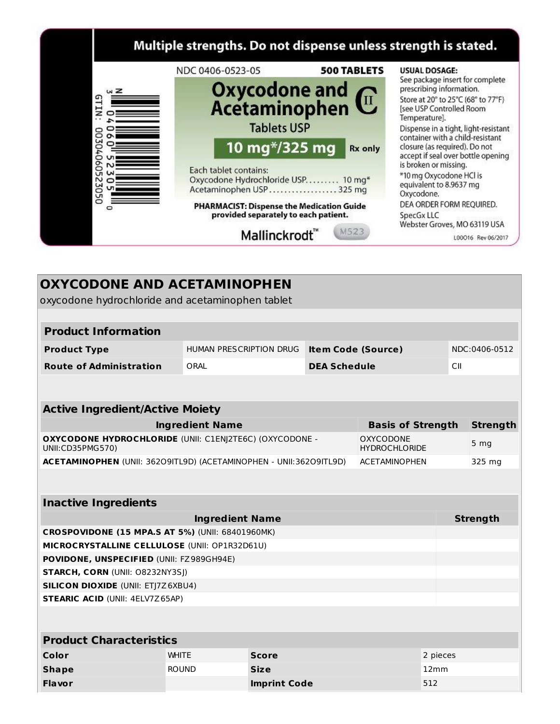

## **OXYCODONE AND ACETAMINOPHEN**

oxycodone hydrochloride and acetaminophen tablet

| <b>Product Type</b>            | HUMAN PRESCRIPTION DRUG | Item Code (Source)  | NDC:0406-0512 |
|--------------------------------|-------------------------|---------------------|---------------|
| <b>Route of Administration</b> | ORAL                    | <b>DEA Schedule</b> | CII           |

| <b>Active Ingredient/Active Moiety</b>                                             |                                          |                 |  |
|------------------------------------------------------------------------------------|------------------------------------------|-----------------|--|
| <b>Ingredient Name</b>                                                             | <b>Basis of Strength</b>                 | Strength        |  |
| <b>OXYCODONE HYDROCHLORIDE (UNII: C1EN)2TE6C) (OXYCODONE -</b><br>UNII:CD35PMG570) | <b>OXYCODONE</b><br><b>HYDROCHLORIDE</b> | 5 <sub>mg</sub> |  |
| ACETAMINOPHEN (UNII: 36209ITL9D) (ACETAMINOPHEN - UNII:36209ITL9D)                 | ACETAMINOPHEN                            | 325 mg          |  |

#### **Inactive Ingredients**

| <b>Ingredient Name</b>                                  | <b>Strength</b> |
|---------------------------------------------------------|-----------------|
| <b>CROSPOVIDONE (15 MPA.S AT 5%) (UNII: 68401960MK)</b> |                 |
| <b>MICROCRYSTALLINE CELLULOSE (UNII: OP1R32D61U)</b>    |                 |
| <b>POVIDONE, UNSPECIFIED (UNII: FZ989GH94E)</b>         |                 |
| <b>STARCH, CORN (UNII: O8232NY3SI)</b>                  |                 |
| <b>SILICON DIOXIDE (UNII: ETJ7Z6XBU4)</b>               |                 |
| <b>STEARIC ACID (UNII: 4ELV7Z65AP)</b>                  |                 |
|                                                         |                 |

#### **Product Characteristics**

| Color         | <b>WHITE</b> | <b>Score</b>        | 2 pieces |
|---------------|--------------|---------------------|----------|
| <b>Shape</b>  | <b>ROUND</b> | <b>Size</b>         | 12mm     |
| <b>Flavor</b> |              | <b>Imprint Code</b> | 512      |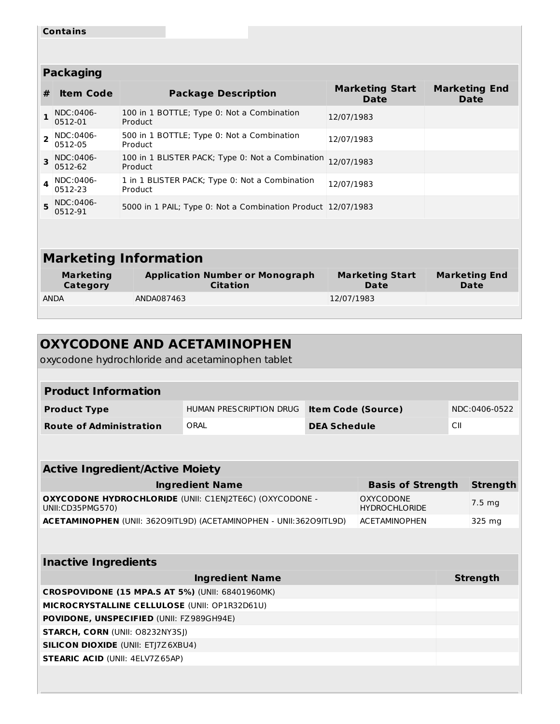|                              | <b>Contains</b>              |                                                              |                                       |                                     |
|------------------------------|------------------------------|--------------------------------------------------------------|---------------------------------------|-------------------------------------|
|                              |                              |                                                              |                                       |                                     |
|                              | <b>Packaging</b>             |                                                              |                                       |                                     |
| #                            | <b>Item Code</b>             | <b>Package Description</b>                                   | <b>Marketing Start</b><br><b>Date</b> | <b>Marketing End</b><br><b>Date</b> |
| 1                            | NDC:0406-<br>0512-01         | 100 in 1 BOTTLE; Type 0: Not a Combination<br>Product        | 12/07/1983                            |                                     |
| $\overline{2}$               | NDC:0406-<br>0512-05         | 500 in 1 BOTTLE; Type 0: Not a Combination<br>Product        | 12/07/1983                            |                                     |
| 3                            | NDC:0406-<br>0512-62         | 100 in 1 BLISTER PACK; Type 0: Not a Combination<br>Product  | 12/07/1983                            |                                     |
| 4                            | NDC:0406-<br>0512-23         | 1 in 1 BLISTER PACK; Type 0: Not a Combination<br>Product    | 12/07/1983                            |                                     |
| 5                            | NDC:0406-<br>0512-91         | 5000 in 1 PAIL; Type 0: Not a Combination Product 12/07/1983 |                                       |                                     |
|                              |                              |                                                              |                                       |                                     |
| <b>Marketing Information</b> |                              |                                                              |                                       |                                     |
|                              | <b>Marketing</b><br>Category | <b>Application Number or Monograph</b><br><b>Citation</b>    | <b>Marketing Start</b><br><b>Date</b> | <b>Marketing End</b><br><b>Date</b> |
|                              | <b>ANDA</b>                  | ANDA087463                                                   | 12/07/1983                            |                                     |
|                              |                              |                                                              |                                       |                                     |
|                              |                              |                                                              |                                       |                                     |

| <b>OXYCODONE AND ACETAMINOPHEN</b>                                                                                      |                                               |                           |                          |        |                  |
|-------------------------------------------------------------------------------------------------------------------------|-----------------------------------------------|---------------------------|--------------------------|--------|------------------|
| oxycodone hydrochloride and acetaminophen tablet                                                                        |                                               |                           |                          |        |                  |
|                                                                                                                         |                                               |                           |                          |        |                  |
| <b>Product Information</b>                                                                                              |                                               |                           |                          |        |                  |
| <b>Product Type</b>                                                                                                     | HUMAN PRESCRIPTION DRUG                       | <b>Item Code (Source)</b> |                          |        | NDC:0406-0522    |
| <b>Route of Administration</b>                                                                                          | ORAL                                          | <b>DEA Schedule</b>       |                          | CII    |                  |
|                                                                                                                         |                                               |                           |                          |        |                  |
|                                                                                                                         |                                               |                           |                          |        |                  |
| <b>Active Ingredient/Active Moiety</b>                                                                                  |                                               |                           |                          |        |                  |
|                                                                                                                         | <b>Ingredient Name</b>                        |                           | <b>Basis of Strength</b> |        | <b>Strength</b>  |
| OXYCODONE HYDROCHLORIDE (UNII: C1ENJ2TE6C) (OXYCODONE -<br><b>OXYCODONE</b><br>UNII:CD35PMG570)<br><b>HYDROCHLORIDE</b> |                                               |                           |                          |        | $7.5 \text{ ma}$ |
| ACETAMINOPHEN (UNII: 36209ITL9D) (ACETAMINOPHEN - UNII:36209ITL9D)<br><b>ACETAMINOPHEN</b>                              |                                               |                           |                          | 325 mg |                  |
|                                                                                                                         |                                               |                           |                          |        |                  |
| <b>Inactive Ingredients</b>                                                                                             |                                               |                           |                          |        |                  |
|                                                                                                                         | <b>Ingredient Name</b>                        |                           |                          |        | <b>Strength</b>  |
| <b>CROSPOVIDONE (15 MPA.S AT 5%) (UNII: 68401960MK)</b>                                                                 |                                               |                           |                          |        |                  |
|                                                                                                                         | MICROCRYSTALLINE CELLULOSE (UNII: OP1R32D61U) |                           |                          |        |                  |
| POVIDONE, UNSPECIFIED (UNII: FZ989GH94E)                                                                                |                                               |                           |                          |        |                  |
| <b>STARCH, CORN (UNII: O8232NY3SJ)</b>                                                                                  |                                               |                           |                          |        |                  |
| <b>SILICON DIOXIDE (UNII: ETJ7Z6XBU4)</b>                                                                               |                                               |                           |                          |        |                  |
| <b>STEARIC ACID (UNII: 4ELV7Z65AP)</b>                                                                                  |                                               |                           |                          |        |                  |
|                                                                                                                         |                                               |                           |                          |        |                  |
|                                                                                                                         |                                               |                           |                          |        |                  |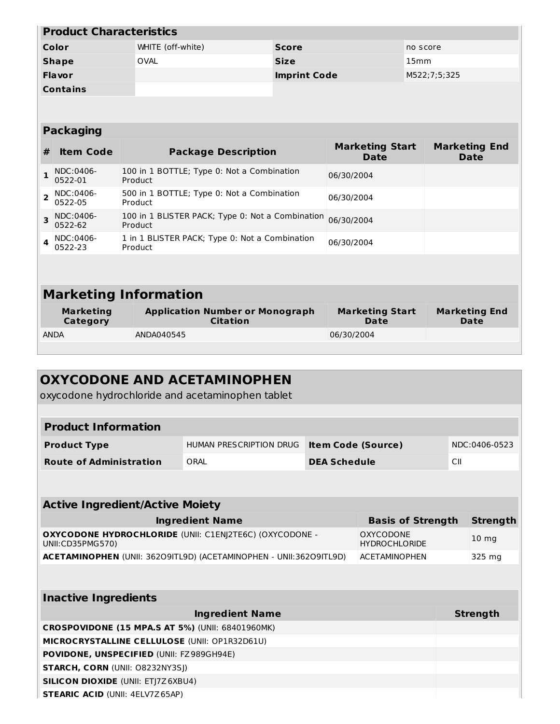| <b>Product Characteristics</b> |                   |                     |                  |  |
|--------------------------------|-------------------|---------------------|------------------|--|
| Color                          | WHITE (off-white) | <b>Score</b>        | no score         |  |
| <b>Shape</b>                   | <b>OVAL</b>       | <b>Size</b>         | 15 <sub>mm</sub> |  |
| <b>Flavor</b>                  |                   | <b>Imprint Code</b> | M522;7;5;325     |  |
| <b>Contains</b>                |                   |                     |                  |  |

| <b>Packaging</b> |                      |                                                             |                                |                                     |  |  |
|------------------|----------------------|-------------------------------------------------------------|--------------------------------|-------------------------------------|--|--|
| #                | <b>Item Code</b>     | <b>Package Description</b>                                  | <b>Marketing Start</b><br>Date | <b>Marketing End</b><br><b>Date</b> |  |  |
|                  | NDC:0406-<br>0522-01 | 100 in 1 BOTTLE; Type 0: Not a Combination<br>Product       | 06/30/2004                     |                                     |  |  |
|                  | NDC:0406-<br>0522-05 | 500 in 1 BOTTLE; Type 0: Not a Combination<br>Product       | 06/30/2004                     |                                     |  |  |
|                  | NDC:0406-<br>0522-62 | 100 in 1 BLISTER PACK; Type 0: Not a Combination<br>Product | 06/30/2004                     |                                     |  |  |
|                  | NDC:0406-<br>0522-23 | 1 in 1 BLISTER PACK; Type 0: Not a Combination<br>Product   | 06/30/2004                     |                                     |  |  |
|                  |                      |                                                             |                                |                                     |  |  |
|                  |                      |                                                             |                                |                                     |  |  |

| <b>Marketing Information</b> |                                                           |                                |                              |  |  |
|------------------------------|-----------------------------------------------------------|--------------------------------|------------------------------|--|--|
| <b>Marketing</b><br>Category | <b>Application Number or Monograph</b><br><b>Citation</b> | <b>Marketing Start</b><br>Date | <b>Marketing End</b><br>Date |  |  |
| <b>ANDA</b>                  | ANDA040545                                                | 06/30/2004                     |                              |  |  |

| <b>OXYCODONE AND ACETAMINOPHEN</b>                                                                                      |                                |                           |  |               |                  |
|-------------------------------------------------------------------------------------------------------------------------|--------------------------------|---------------------------|--|---------------|------------------|
| oxycodone hydrochloride and acetaminophen tablet                                                                        |                                |                           |  |               |                  |
|                                                                                                                         |                                |                           |  |               |                  |
| <b>Product Information</b>                                                                                              |                                |                           |  |               |                  |
| <b>Product Type</b>                                                                                                     | <b>HUMAN PRESCRIPTION DRUG</b> | <b>Item Code (Source)</b> |  | NDC:0406-0523 |                  |
| <b>Route of Administration</b>                                                                                          | ORAL                           | <b>DEA Schedule</b>       |  | CII           |                  |
|                                                                                                                         |                                |                           |  |               |                  |
|                                                                                                                         |                                |                           |  |               |                  |
| <b>Active Ingredient/Active Moiety</b>                                                                                  |                                |                           |  |               |                  |
| <b>Ingredient Name</b><br><b>Basis of Strength</b>                                                                      |                                |                           |  |               | <b>Strength</b>  |
| OXYCODONE HYDROCHLORIDE (UNII: C1ENJ2TE6C) (OXYCODONE -<br><b>OXYCODONE</b><br><b>HYDROCHLORIDE</b><br>UNII:CD35PMG570) |                                |                           |  |               | 10 <sub>mg</sub> |
| ACETAMINOPHEN (UNII: 36209ITL9D) (ACETAMINOPHEN - UNII:36209ITL9D)<br><b>ACETAMINOPHEN</b>                              |                                |                           |  |               | 325 mg           |
|                                                                                                                         |                                |                           |  |               |                  |
| <b>Inactive Ingredients</b>                                                                                             |                                |                           |  |               |                  |
|                                                                                                                         |                                |                           |  |               |                  |
| <b>Ingredient Name</b>                                                                                                  |                                |                           |  |               | <b>Strength</b>  |
| <b>CROSPOVIDONE (15 MPA.S AT 5%) (UNII: 68401960MK)</b>                                                                 |                                |                           |  |               |                  |
| MICROCRYSTALLINE CELLULOSE (UNII: OP1R32D61U)                                                                           |                                |                           |  |               |                  |
| POVIDONE, UNSPECIFIED (UNII: FZ989GH94E)                                                                                |                                |                           |  |               |                  |
| <b>STARCH, CORN (UNII: O8232NY3SJ)</b>                                                                                  |                                |                           |  |               |                  |
| <b>SILICON DIOXIDE (UNII: ETJ7Z6XBU4)</b>                                                                               |                                |                           |  |               |                  |
| <b>STEARIC ACID (UNII: 4ELV7Z65AP)</b>                                                                                  |                                |                           |  |               |                  |